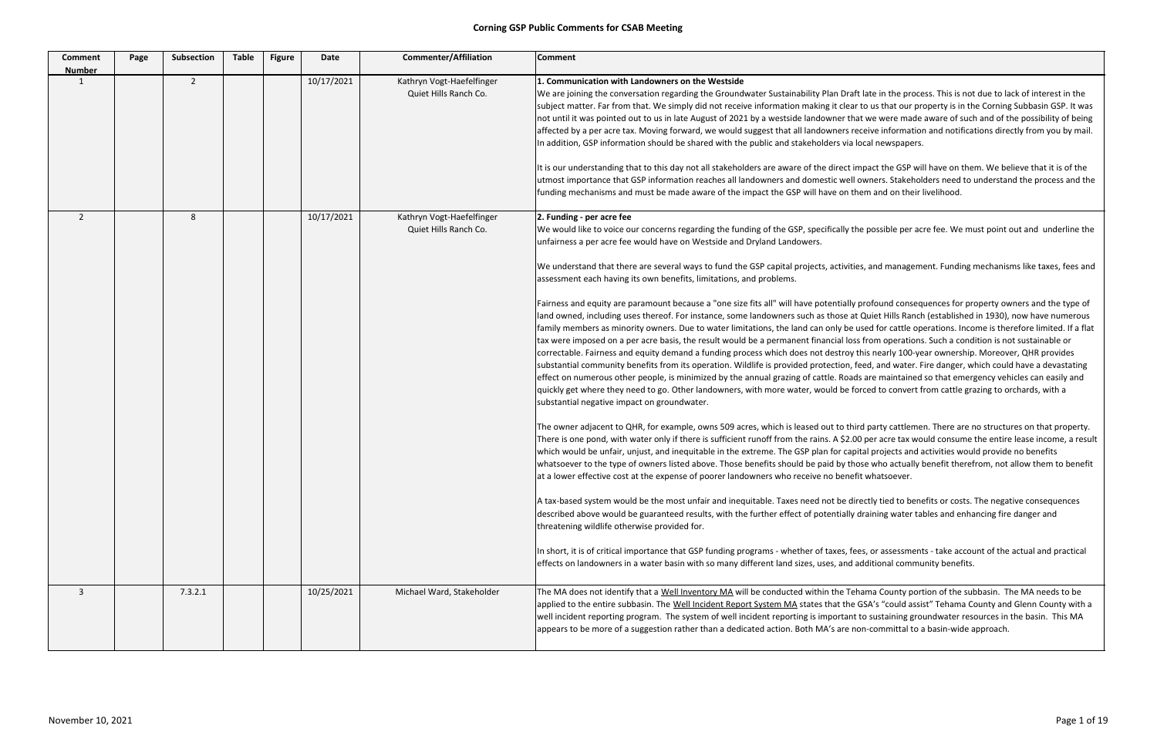| <b>Comment</b><br><b>Number</b> | Page | <b>Subsection</b> | <b>Table</b> | <b>Figure</b> | Date       | <b>Commenter/Affiliation</b>                       | <b>Comment</b>                                                                                                                                                                                                                                                                                                                                                                                                                                                                                                                                                                                                                                                                                                                                                                                                                                                                                                                                                                                                                                                                                                                                                                                                                                                                                                                                                                                                                                                                                                                                                                                                                                                                                                                                                                                                                                                                                                                                                      |
|---------------------------------|------|-------------------|--------------|---------------|------------|----------------------------------------------------|---------------------------------------------------------------------------------------------------------------------------------------------------------------------------------------------------------------------------------------------------------------------------------------------------------------------------------------------------------------------------------------------------------------------------------------------------------------------------------------------------------------------------------------------------------------------------------------------------------------------------------------------------------------------------------------------------------------------------------------------------------------------------------------------------------------------------------------------------------------------------------------------------------------------------------------------------------------------------------------------------------------------------------------------------------------------------------------------------------------------------------------------------------------------------------------------------------------------------------------------------------------------------------------------------------------------------------------------------------------------------------------------------------------------------------------------------------------------------------------------------------------------------------------------------------------------------------------------------------------------------------------------------------------------------------------------------------------------------------------------------------------------------------------------------------------------------------------------------------------------------------------------------------------------------------------------------------------------|
| 1                               |      | $\overline{2}$    |              |               | 10/17/2021 | Kathryn Vogt-Haefelfinger<br>Quiet Hills Ranch Co. | 1. Communication with Landowners on the Westside<br>We are joining the conversation regarding the Groundwater Sustainability Plan Dr<br>subject matter. Far from that. We simply did not receive information making it cle<br>not until it was pointed out to us in late August of 2021 by a westside landowner t<br>affected by a per acre tax. Moving forward, we would suggest that all landowners<br>In addition, GSP information should be shared with the public and stakeholders via<br>It is our understanding that to this day not all stakeholders are aware of the direct<br>utmost importance that GSP information reaches all landowners and domestic we<br>funding mechanisms and must be made aware of the impact the GSP will have on                                                                                                                                                                                                                                                                                                                                                                                                                                                                                                                                                                                                                                                                                                                                                                                                                                                                                                                                                                                                                                                                                                                                                                                                               |
| $\overline{2}$                  |      | 8                 |              |               | 10/17/2021 | Kathryn Vogt-Haefelfinger<br>Quiet Hills Ranch Co. | 2. Funding - per acre fee<br>We would like to voice our concerns regarding the funding of the GSP, specifically<br>unfairness a per acre fee would have on Westside and Dryland Landowers.<br>We understand that there are several ways to fund the GSP capital projects, activi<br>assessment each having its own benefits, limitations, and problems.<br>Fairness and equity are paramount because a "one size fits all" will have potential<br>land owned, including uses thereof. For instance, some landowners such as those<br>family members as minority owners. Due to water limitations, the land can only bo<br>tax were imposed on a per acre basis, the result would be a permanent financial lo<br>correctable. Fairness and equity demand a funding process which does not destro<br>substantial community benefits from its operation. Wildlife is provided protection<br>effect on numerous other people, is minimized by the annual grazing of cattle. Roa<br>quickly get where they need to go. Other landowners, with more water, would be<br>substantial negative impact on groundwater.<br>The owner adjacent to QHR, for example, owns 509 acres, which is leased out to t<br>There is one pond, with water only if there is sufficient runoff from the rains. A \$2<br>which would be unfair, unjust, and inequitable in the extreme. The GSP plan for ca<br>whatsoever to the type of owners listed above. Those benefits should be paid by t<br>at a lower effective cost at the expense of poorer landowners who receive no ben<br>A tax-based system would be the most unfair and inequitable. Taxes need not be of<br>described above would be guaranteed results, with the further effect of potentiall<br>threatening wildlife otherwise provided for.<br>In short, it is of critical importance that GSP funding programs - whether of taxes,<br>effects on landowners in a water basin with so many different land sizes, uses, and |
| 3                               |      | 7.3.2.1           |              |               | 10/25/2021 | Michael Ward, Stakeholder                          | The MA does not identify that a Well Inventory MA will be conducted within the T<br>applied to the entire subbasin. The Well Incident Report System MA states that th<br>well incident reporting program. The system of well incident reporting is importal<br>appears to be more of a suggestion rather than a dedicated action. Both MA's are                                                                                                                                                                                                                                                                                                                                                                                                                                                                                                                                                                                                                                                                                                                                                                                                                                                                                                                                                                                                                                                                                                                                                                                                                                                                                                                                                                                                                                                                                                                                                                                                                     |

raft late in the process. This is not due to lack of interest in the ear to us that our property is in the Corning Subbasin GSP. It was that we were made aware of such and of the possibility of being s receive information and notifications directly from you by mail. ia local newspapers.

in understanding to them. We believe that it is of the dimpact the GSP will have on them. We believe that it is of the ell owners. Stakeholders need to understand the process and the them and on their livelihood.

the possible per acre fee. We must point out and underline the

ities, and management. Funding mechanisms like taxes, fees and

lly profound consequences for property owners and the type of at Quiet Hills Ranch (established in 1930), now have numerous e used for cattle operations. Income is therefore limited. If a flat oss from operations. Such a condition is not sustainable or by this nearly 100-year ownership. Moreover, QHR provides , feed, and water. Fire danger, which could have a devastating ads are maintained so that emergency vehicles can easily and forced to convert from cattle grazing to orchards, with a

third party cattlemen. There are no structures on that property. .00 per acre tax would consume the entire lease income, a result apital projects and activities would provide no benefits those who actually benefit therefrom, not allow them to benefit efit whatsoever.

directly tied to benefits or costs. The negative consequences lly draining water tables and enhancing fire danger and

fees, or assessments - take account of the actual and practical d additional community benefits.

Tehama County portion of the subbasin. The MA needs to be he GSA's "could assist" Tehama County and Glenn County with a int to sustaining groundwater resources in the basin. This MA non-committal to a basin-wide approach.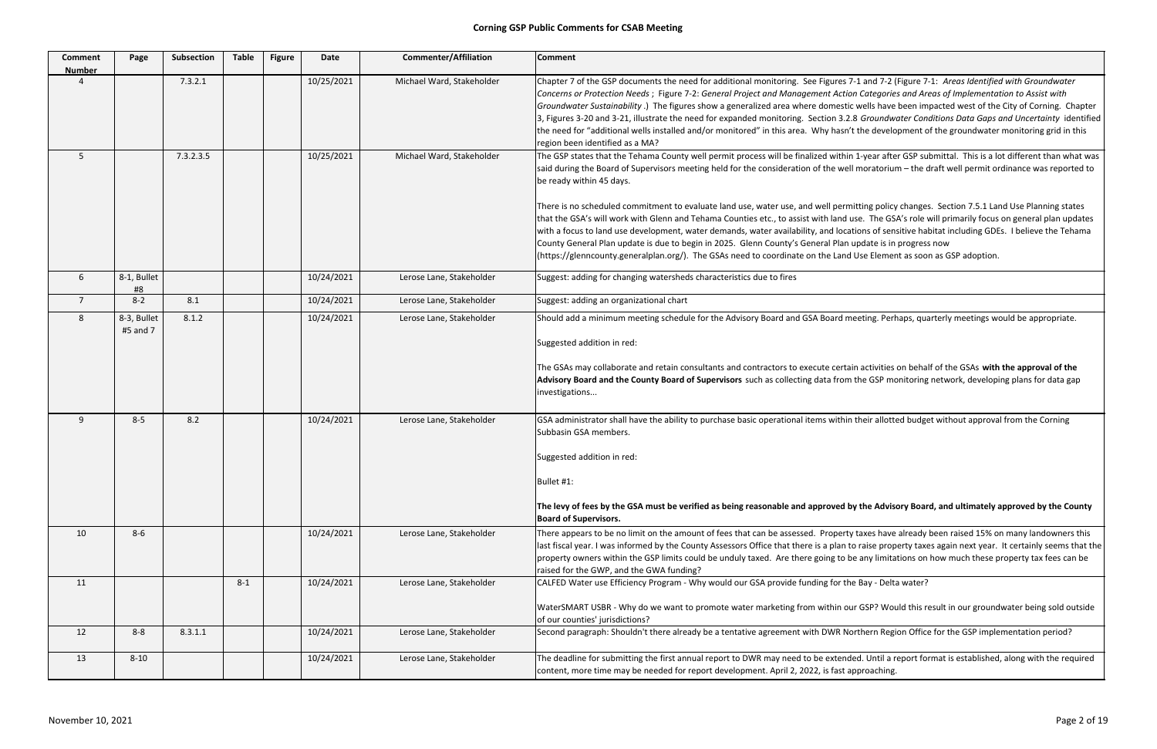| <b>Comment</b><br><b>Number</b> | Page                               | Subsection   | <b>Table</b> | <b>Figure</b> | <b>Date</b>              | <b>Commenter/Affiliation</b>                         | <b>Comment</b>                                                                                                                                                                                                                                                                                                                                                                                                                                                                                                                                                                                                                                                                                                                                                                     |
|---------------------------------|------------------------------------|--------------|--------------|---------------|--------------------------|------------------------------------------------------|------------------------------------------------------------------------------------------------------------------------------------------------------------------------------------------------------------------------------------------------------------------------------------------------------------------------------------------------------------------------------------------------------------------------------------------------------------------------------------------------------------------------------------------------------------------------------------------------------------------------------------------------------------------------------------------------------------------------------------------------------------------------------------|
|                                 |                                    | 7.3.2.1      |              |               | 10/25/2021               | Michael Ward, Stakeholder                            | Chapter 7 of the GSP documents the need for additional monitoring. See Figures 7-1 and 7-2 (Figure 7<br>Concerns or Protection Needs; Figure 7-2: General Project and Management Action Categories and Ar<br>Groundwater Sustainability.) The figures show a generalized area where domestic wells have been in<br>3, Figures 3-20 and 3-21, illustrate the need for expanded monitoring. Section 3.2.8 Groundwater Con<br>the need for "additional wells installed and/or monitored" in this area. Why hasn't the development of<br>region been identified as a MA?                                                                                                                                                                                                               |
| 5                               |                                    | 7.3.2.3.5    |              |               | 10/25/2021               | Michael Ward, Stakeholder                            | The GSP states that the Tehama County well permit process will be finalized within 1-year after GSP su<br>said during the Board of Supervisors meeting held for the consideration of the well moratorium - the<br>be ready within 45 days.<br>There is no scheduled commitment to evaluate land use, water use, and well permitting policy change<br>that the GSA's will work with Glenn and Tehama Counties etc., to assist with land use. The GSA's role<br>with a focus to land use development, water demands, water availability, and locations of sensitive ha<br>County General Plan update is due to begin in 2025. Glenn County's General Plan update is in progres<br>(https://glenncounty.generalplan.org/). The GSAs need to coordinate on the Land Use Element as soo |
| 6                               | 8-1, Bullet<br>#8                  |              |              |               | 10/24/2021               | Lerose Lane, Stakeholder                             | Suggest: adding for changing watersheds characteristics due to fires                                                                                                                                                                                                                                                                                                                                                                                                                                                                                                                                                                                                                                                                                                               |
| $7^{\circ}$                     | $8 - 2$                            | 8.1          |              |               | 10/24/2021               | Lerose Lane, Stakeholder                             | Suggest: adding an organizational chart                                                                                                                                                                                                                                                                                                                                                                                                                                                                                                                                                                                                                                                                                                                                            |
| 8<br>9                          | 8-3, Bullet<br>#5 and 7<br>$8 - 5$ | 8.1.2<br>8.2 |              |               | 10/24/2021<br>10/24/2021 | Lerose Lane, Stakeholder<br>Lerose Lane, Stakeholder | Should add a minimum meeting schedule for the Advisory Board and GSA Board meeting. Perhaps, qu<br>Suggested addition in red:<br>The GSAs may collaborate and retain consultants and contractors to execute certain activities on beha<br>Advisory Board and the County Board of Supervisors such as collecting data from the GSP monitoring<br>investigations<br>GSA administrator shall have the ability to purchase basic operational items within their allotted budg<br>Subbasin GSA members.                                                                                                                                                                                                                                                                                 |
|                                 |                                    |              |              |               |                          |                                                      | Suggested addition in red:<br>Bullet #1:<br>The levy of fees by the GSA must be verified as being reasonable and approved by the Advisory Boar<br><b>Board of Supervisors.</b>                                                                                                                                                                                                                                                                                                                                                                                                                                                                                                                                                                                                     |
| 10                              | $8 - 6$                            |              |              |               | 10/24/2021               | Lerose Lane, Stakeholder                             | There appears to be no limit on the amount of fees that can be assessed. Property taxes have already<br>last fiscal year. I was informed by the County Assessors Office that there is a plan to raise property tax<br>property owners within the GSP limits could be unduly taxed. Are there going to be any limitations on<br>raised for the GWP, and the GWA funding?                                                                                                                                                                                                                                                                                                                                                                                                            |
| 11                              |                                    |              | $8 - 1$      |               | 10/24/2021               | Lerose Lane, Stakeholder                             | CALFED Water use Efficiency Program - Why would our GSA provide funding for the Bay - Delta water?<br>WaterSMART USBR - Why do we want to promote water marketing from within our GSP? Would this r<br>of our counties' jurisdictions?                                                                                                                                                                                                                                                                                                                                                                                                                                                                                                                                             |
| 12                              | $8 - 8$                            | 8.3.1.1      |              |               | 10/24/2021               | Lerose Lane, Stakeholder                             | Second paragraph: Shouldn't there already be a tentative agreement with DWR Northern Region Offic                                                                                                                                                                                                                                                                                                                                                                                                                                                                                                                                                                                                                                                                                  |
| 13                              | $8 - 10$                           |              |              |               | 10/24/2021               | Lerose Lane, Stakeholder                             | The deadline for submitting the first annual report to DWR may need to be extended. Until a report fo<br>content, more time may be needed for report development. April 2, 2022, is fast approaching.                                                                                                                                                                                                                                                                                                                                                                                                                                                                                                                                                                              |

7-1 and 7-2 (Figure 7-1: Areas Identified with Groundwater *Needs* ; Figure 7‐2: *General Project and Management Action Categories and Areas of Implementation to Assist with* c wells have been impacted west of the City of Corning. Chapter 3, Figures 3‐20 and 3‐21, illustrate the need for expanded monitoring. Section 3.2.8 *Groundwater Conditions Data Gaps and Uncertainty* identified i't the development of the groundwater monitoring grid in this

in 1-year after GSP submittal. This is a lot different than what was ell moratorium – the draft well permit ordinance was reported to

nitting policy changes. Section 7.5.1 Land Use Planning states use. The GSA's role will primarily focus on general plan updates ations of sensitive habitat including GDEs. I believe the Tehama update is in progress now

l Use Element as soon as GSP adoption.

neeting. Perhaps, quarterly meetings would be appropriate.

ain activities on behalf of the GSAs with the approval of the **the GSP monitoring network, developing plans for data gap** 

1 their allotted budget without approval from the Corning

# by the Advisory Board, and ultimately approved by the County

Intertuder There appears appears There appears to be no limit on the state state sthatcan be already been in t<br>In the annum taxes have already been raised 15% on many landowners this to raise property taxes again next year. It certainly seems that the be any limitations on how much these property tax fees can be

ur GSP? Would this result in our groundwater being sold outside

orthern Region Office for the GSP implementation period?

led. Until a report format is established, along with the required pproaching.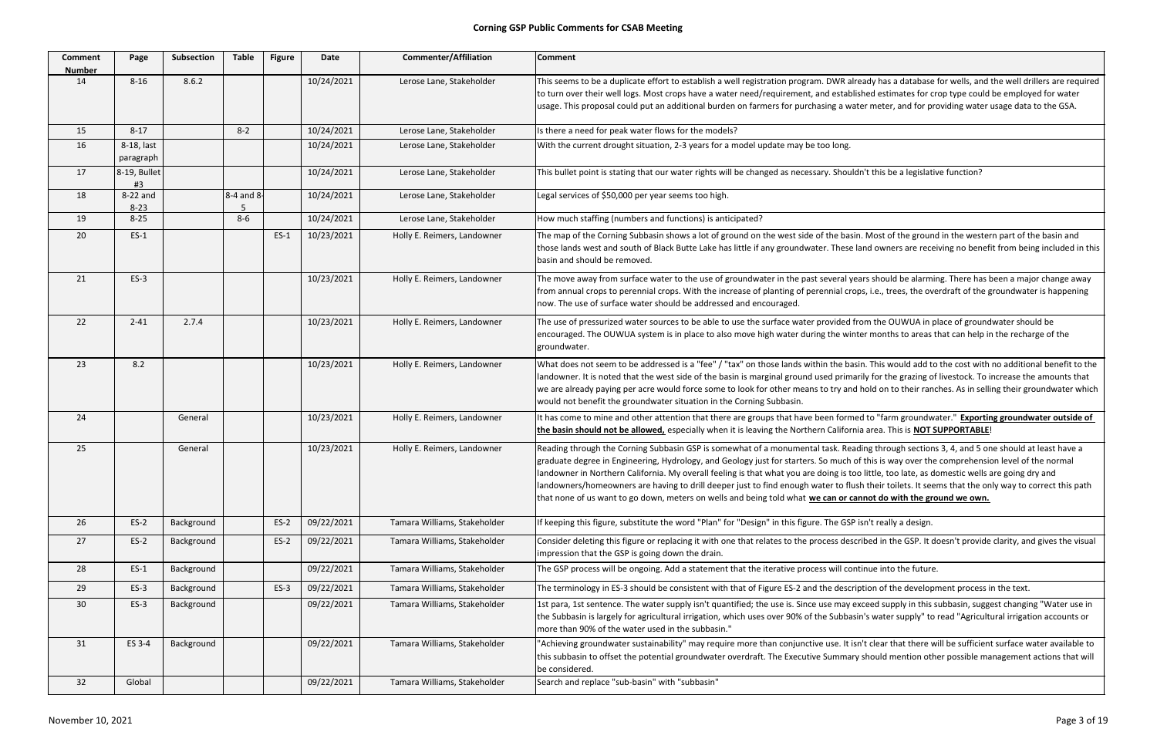| <b>Comment</b><br><b>Number</b> | Page                    | Subsection | <b>Table</b> | <b>Figure</b> | Date       | <b>Commenter/Affiliation</b> | <b>Comment</b>                                                                                                                                                                                                                                                                                                                                                                                                                                                                                                                                           |
|---------------------------------|-------------------------|------------|--------------|---------------|------------|------------------------------|----------------------------------------------------------------------------------------------------------------------------------------------------------------------------------------------------------------------------------------------------------------------------------------------------------------------------------------------------------------------------------------------------------------------------------------------------------------------------------------------------------------------------------------------------------|
| 14                              | $8 - 16$                | 8.6.2      |              |               | 10/24/2021 | Lerose Lane, Stakeholder     | This seems to be a duplicate effort to establish a well registration program. DWR already has a database<br>to turn over their well logs. Most crops have a water need/requirement, and established estimates for cr<br>usage. This proposal could put an additional burden on farmers for purchasing a water meter, and for pro                                                                                                                                                                                                                         |
| 15                              | $8 - 17$                |            | $8 - 2$      |               | 10/24/2021 | Lerose Lane, Stakeholder     | Is there a need for peak water flows for the models?                                                                                                                                                                                                                                                                                                                                                                                                                                                                                                     |
| 16                              | 8-18, last<br>paragraph |            |              |               | 10/24/2021 | Lerose Lane, Stakeholder     | With the current drought situation, 2-3 years for a model update may be too long.                                                                                                                                                                                                                                                                                                                                                                                                                                                                        |
| 17                              | 8-19, Bullet<br>#3      |            |              |               | 10/24/2021 | Lerose Lane, Stakeholder     | This bullet point is stating that our water rights will be changed as necessary. Shouldn't this be a legislativ                                                                                                                                                                                                                                                                                                                                                                                                                                          |
| 18                              | 8-22 and<br>$8 - 23$    |            | 8-4 and 8-   |               | 10/24/2021 | Lerose Lane, Stakeholder     | Legal services of \$50,000 per year seems too high.                                                                                                                                                                                                                                                                                                                                                                                                                                                                                                      |
| 19                              | $8 - 25$                |            | $8-6$        |               | 10/24/2021 | Lerose Lane, Stakeholder     | How much staffing (numbers and functions) is anticipated?                                                                                                                                                                                                                                                                                                                                                                                                                                                                                                |
| 20                              | $ES-1$                  |            |              | $ES-1$        | 10/23/2021 | Holly E. Reimers, Landowner  | The map of the Corning Subbasin shows a lot of ground on the west side of the basin. Most of the ground<br>those lands west and south of Black Butte Lake has little if any groundwater. These land owners are receing<br>basin and should be removed.                                                                                                                                                                                                                                                                                                   |
| 21                              | $ES-3$                  |            |              |               | 10/23/2021 | Holly E. Reimers, Landowner  | The move away from surface water to the use of groundwater in the past several years should be alarmin<br>from annual crops to perennial crops. With the increase of planting of perennial crops, i.e., trees, the ove<br>now. The use of surface water should be addressed and encouraged.                                                                                                                                                                                                                                                              |
| 22                              | $2 - 41$                | 2.7.4      |              |               | 10/23/2021 | Holly E. Reimers, Landowner  | The use of pressurized water sources to be able to use the surface water provided from the OUWUA in p<br>encouraged. The OUWUA system is in place to also move high water during the winter months to areas t<br>groundwater.                                                                                                                                                                                                                                                                                                                            |
| 23                              | 8.2                     |            |              |               | 10/23/2021 | Holly E. Reimers, Landowner  | What does not seem to be addressed is a "fee" / "tax" on those lands within the basin. This would add to<br>landowner. It is noted that the west side of the basin is marginal ground used primarily for the grazing of<br>we are already paying per acre would force some to look for other means to try and hold on to their rand<br>would not benefit the groundwater situation in the Corning Subbasin.                                                                                                                                              |
| 24                              |                         | General    |              |               | 10/23/2021 | Holly E. Reimers, Landowner  | It has come to mine and other attention that there are groups that have been formed to "farm groundwa<br>the basin should not be allowed, especially when it is leaving the Northern California area. This is NOT S                                                                                                                                                                                                                                                                                                                                      |
| 25                              |                         | General    |              |               | 10/23/2021 | Holly E. Reimers, Landowner  | Reading through the Corning Subbasin GSP is somewhat of a monumental task. Reading through sections<br>graduate degree in Engineering, Hydrology, and Geology just for starters. So much of this is way over the<br>landowner in Northern California. My overall feeling is that what you are doing is too little, too late, as do<br>landowners/homeowners are having to drill deeper just to find enough water to flush their toilets. It see<br>that none of us want to go down, meters on wells and being told what we can or cannot do with the gro |
| 26                              | $ES-2$                  | Background |              | $ES-2$        | 09/22/2021 | Tamara Williams, Stakeholder | If keeping this figure, substitute the word "Plan" for "Design" in this figure. The GSP isn't really a design.                                                                                                                                                                                                                                                                                                                                                                                                                                           |
| 27                              | $ES-2$                  | Background |              | $ES-2$        | 09/22/2021 | Tamara Williams, Stakeholder | Consider deleting this figure or replacing it with one that relates to the process described in the GSP. It d<br>impression that the GSP is going down the drain.                                                                                                                                                                                                                                                                                                                                                                                        |
| 28                              | $ES-1$                  | Background |              |               | 09/22/2021 | Tamara Williams, Stakeholder | The GSP process will be ongoing. Add a statement that the iterative process will continue into the future.                                                                                                                                                                                                                                                                                                                                                                                                                                               |
| 29                              | $ES-3$                  | Background |              | $ES-3$        | 09/22/2021 | Tamara Williams, Stakeholder | The terminology in ES-3 should be consistent with that of Figure ES-2 and the description of the developr                                                                                                                                                                                                                                                                                                                                                                                                                                                |
| 30                              | $ES-3$                  | Background |              |               | 09/22/2021 | Tamara Williams, Stakeholder | 1st para, 1st sentence. The water supply isn't quantified; the use is. Since use may exceed supply in this s<br>the Subbasin is largely for agricultural irrigation, which uses over 90% of the Subbasin's water supply" to<br>more than 90% of the water used in the subbasin."                                                                                                                                                                                                                                                                         |
| 31                              | ES 3-4                  | Background |              |               | 09/22/2021 | Tamara Williams, Stakeholder | "Achieving groundwater sustainability" may require more than conjunctive use. It isn't clear that there w<br>this subbasin to offset the potential groundwater overdraft. The Executive Summary should mention oth<br>be considered.                                                                                                                                                                                                                                                                                                                     |
| 32                              | Global                  |            |              |               | 09/22/2021 | Tamara Williams, Stakeholder | Search and replace "sub-basin" with "subbasin"                                                                                                                                                                                                                                                                                                                                                                                                                                                                                                           |

already has a database for wells, and the well drillers are required iblished estimates for crop type could be employed for water water meter, and for providing water usage data to the GSA.

uldn't this be a legislative function?

asin. Most of the ground in the western part of the basin and se land owners are receiving no benefit from being included in this

years should be alarming. There has been a major change away rops, i.e., trees, the overdraft of the groundwater is happening

d from the OUWUA in place of groundwater should be inter months to areas that can help in the recharge of the

basin. This would add to the cost with no additional benefit to the marily for the grazing of livestock. To increase the amounts that nd hold on to their ranches. As in selling their groundwater which

med to "farm groundwater." **Exporting groundwater outside of prnia area. This is <b>NOT SUPPORTABLE**!

eading through sections 3, 4, and 5 one should at least have a h of this is way over the comprehension level of the normal too little, too late, as domestic wells are going dry and flush their toilets. It seems that the only way to correct this path cannot do with the ground we own.

escribed in the GSP. It doesn't provide clarity, and gives the visual

cription of the development process in the text.

 $\gamma$  exceed supply in this subbasin, suggest changing "Water use in iasin's water supply" to read "Agricultural irrigation accounts or

t isn't clear that there will be sufficient surface water available to ary should mention other possible management actions that will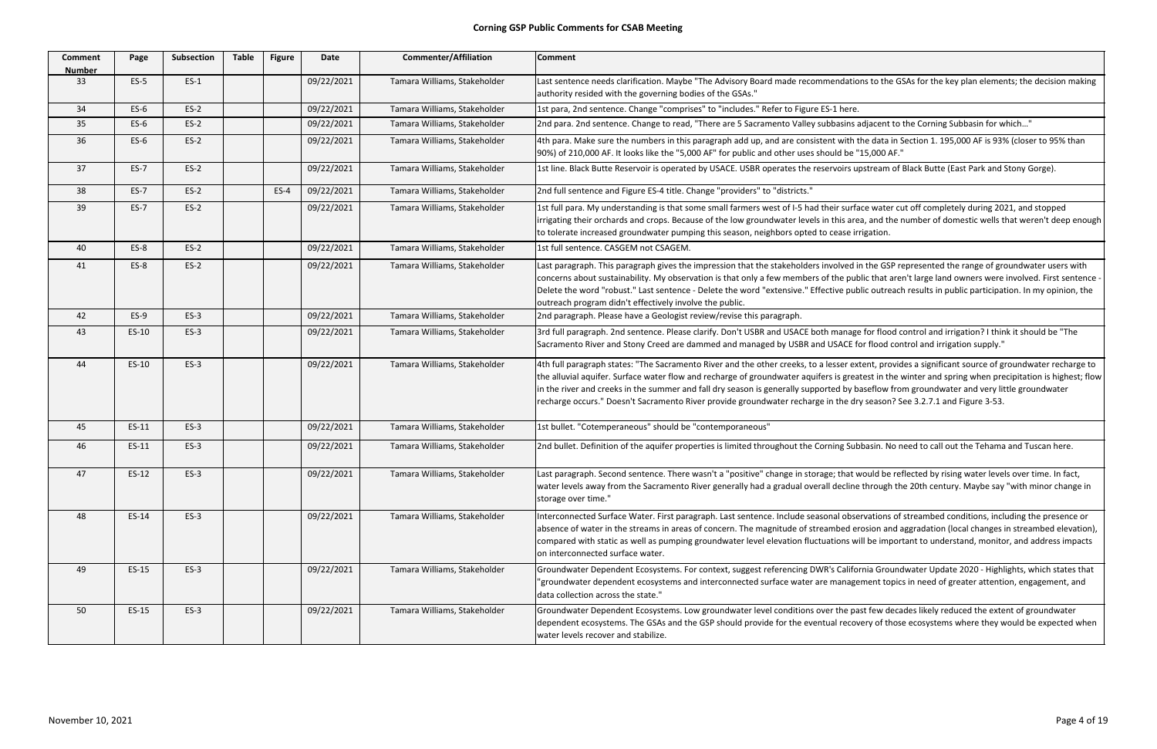| <b>Comment</b><br><b>Number</b> | Page   | <b>Subsection</b> | <b>Table</b> | <b>Figure</b> | Date       | <b>Commenter/Affiliation</b> | <b>Comment</b>                                                                                                                                                                                                                                                                                                                                               |
|---------------------------------|--------|-------------------|--------------|---------------|------------|------------------------------|--------------------------------------------------------------------------------------------------------------------------------------------------------------------------------------------------------------------------------------------------------------------------------------------------------------------------------------------------------------|
| 33                              | $ES-5$ | $ES-1$            |              |               | 09/22/2021 | Tamara Williams, Stakeholder | Last sentence needs clarification. Maybe "The Advisory Board made recommendation<br>authority resided with the governing bodies of the GSAs."                                                                                                                                                                                                                |
| 34                              | $ES-6$ | $ES-2$            |              |               | 09/22/2021 | Tamara Williams, Stakeholder | 1st para, 2nd sentence. Change "comprises" to "includes." Refer to Figure ES-1 here.                                                                                                                                                                                                                                                                         |
| 35                              | $ES-6$ | $ES-2$            |              |               | 09/22/2021 | Tamara Williams, Stakeholder | 2nd para. 2nd sentence. Change to read, "There are 5 Sacramento Valley subbasins a                                                                                                                                                                                                                                                                           |
| 36                              | $ES-6$ | $ES-2$            |              |               | 09/22/2021 | Tamara Williams, Stakeholder | 4th para. Make sure the numbers in this paragraph add up, and are consistent with t<br>90%) of 210,000 AF. It looks like the "5,000 AF" for public and other uses should be "                                                                                                                                                                                |
| 37                              | $ES-7$ | $ES-2$            |              |               | 09/22/2021 | Tamara Williams, Stakeholder | 1st line. Black Butte Reservoir is operated by USACE. USBR operates the reservoirs u                                                                                                                                                                                                                                                                         |
| 38                              | $ES-7$ | $ES-2$            |              | $ES-4$        | 09/22/2021 | Tamara Williams, Stakeholder | 2nd full sentence and Figure ES-4 title. Change "providers" to "districts."                                                                                                                                                                                                                                                                                  |
| 39                              | $ES-7$ | $ES-2$            |              |               | 09/22/2021 | Tamara Williams, Stakeholder | 1st full para. My understanding is that some small farmers west of I-5 had their surfa<br>irrigating their orchards and crops. Because of the low groundwater levels in this are<br>to tolerate increased groundwater pumping this season, neighbors opted to cease in                                                                                       |
| 40                              | $ES-8$ | $ES-2$            |              |               | 09/22/2021 | Tamara Williams, Stakeholder | 1st full sentence. CASGEM not CSAGEM.                                                                                                                                                                                                                                                                                                                        |
| 41                              | $ES-8$ | $ES-2$            |              |               | 09/22/2021 | Tamara Williams, Stakeholder | Last paragraph. This paragraph gives the impression that the stakeholders involved i<br>concerns about sustainability. My observation is that only a few members of the pul<br>Delete the word "robust." Last sentence - Delete the word "extensive." Effective pul<br>outreach program didn't effectively involve the public.                               |
| 42                              | $ES-9$ | $ES-3$            |              |               | 09/22/2021 | Tamara Williams, Stakeholder | 2nd paragraph. Please have a Geologist review/revise this paragraph.                                                                                                                                                                                                                                                                                         |
| 43                              | ES-10  | $ES-3$            |              |               | 09/22/2021 | Tamara Williams, Stakeholder | 3rd full paragraph. 2nd sentence. Please clarify. Don't USBR and USACE both manage<br>Sacramento River and Stony Creed are dammed and managed by USBR and USACE f                                                                                                                                                                                            |
| 44                              | ES-10  | $ES-3$            |              |               | 09/22/2021 | Tamara Williams, Stakeholder | 4th full paragraph states: "The Sacramento River and the other creeks, to a lesser ex<br>the alluvial aquifer. Surface water flow and recharge of groundwater aquifers is grea<br>in the river and creeks in the summer and fall dry season is generally supported by b<br>recharge occurs." Doesn't Sacramento River provide groundwater recharge in the dr |
| 45                              | ES-11  | $ES-3$            |              |               | 09/22/2021 | Tamara Williams, Stakeholder | 1st bullet. "Cotemperaneous" should be "contemporaneous"                                                                                                                                                                                                                                                                                                     |
| 46                              | ES-11  | $ES-3$            |              |               | 09/22/2021 | Tamara Williams, Stakeholder | 2nd bullet. Definition of the aquifer properties is limited throughout the Corning Sub                                                                                                                                                                                                                                                                       |
| 47                              | ES-12  | $ES-3$            |              |               | 09/22/2021 | Tamara Williams, Stakeholder | Last paragraph. Second sentence. There wasn't a "positive" change in storage; that v<br>water levels away from the Sacramento River generally had a gradual overall decline<br>storage over time."                                                                                                                                                           |
| 48                              | ES-14  | $ES-3$            |              |               | 09/22/2021 | Tamara Williams, Stakeholder | Interconnected Surface Water. First paragraph. Last sentence. Include seasonal obse<br>absence of water in the streams in areas of concern. The magnitude of streambed e<br>compared with static as well as pumping groundwater level elevation fluctuations w<br>on interconnected surface water.                                                           |
| 49                              | ES-15  | $ES-3$            |              |               | 09/22/2021 | Tamara Williams, Stakeholder | Groundwater Dependent Ecosystems. For context, suggest referencing DWR's Califo<br>"groundwater dependent ecosystems and interconnected surface water are manage<br>data collection across the state."                                                                                                                                                       |
| 50                              | ES-15  | $ES-3$            |              |               | 09/22/2021 | Tamara Williams, Stakeholder | Groundwater Dependent Ecosystems. Low groundwater level conditions over the pa<br>dependent ecosystems. The GSAs and the GSP should provide for the eventual recov<br>water levels recover and stabilize.                                                                                                                                                    |

ations to the GSAs for the key plan elements; the decision making

ns adjacent to the Corning Subbasin for which..."

th the data in Section 1. 195,000 AF is 93% (closer to 95% than 0e "15,000 AF."

I upstream of Black Butte (East Park and Stony Gorge).

Irface water cut off completely during 2021, and stopped area, and the number of domestic wells that weren't deep enough irrigation.

ed in the GSP represented the range of groundwater users with public that aren't large land owners were involved. First sentence public outreach results in public participation. In my opinion, the

age for flood control and irrigation? I think it should be "The E for flood control and irrigation supply."

extent, provides a significant source of groundwater recharge to reatest in the winter and spring when precipitation is highest; flow the season baseflow from groundwater and very little groundwater dry season? See 3.2.7.1 and Figure 3-53.

Subbasin. No need to call out the Tehama and Tuscan here.

at would be reflected by rising water levels over time. In fact, ine through the 20th century. Maybe say "with minor change in

bservations of streambed conditions, including the presence or erosion and aggradation (local changes in streambed elevation), will be important to understand, monitor, and address impacts

lifornia Groundwater Update 2020 - Highlights, which states that agement topics in need of greater attention, engagement, and

past few decades likely reduced the extent of groundwater covery of those ecosystems where they would be expected when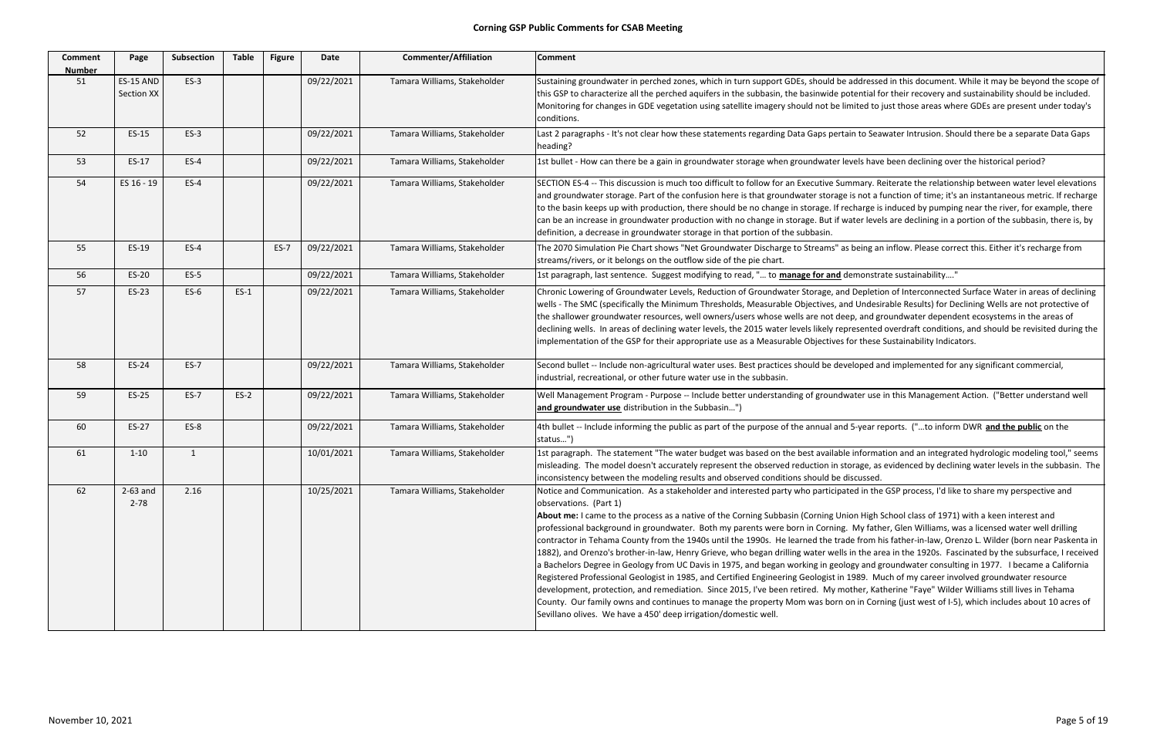56 ES‐20 ES‐5 09/22/2021 Tamara Williams, Stakeholder 1st paragraph, last sentence. Suggest modifying to read, "… to **manage for and** demonstrate sustainability…."

I Depletion of Interconnected Surface Water in areas of declining d Undesirable Results) for Declining Wells are not protective of ep, and groundwater dependent ecosystems in the areas of resented overdraft conditions, and should be revisited during the for these Sustainability Indicators.

eloped and implemented for any significant commercial,

vater use in this Management Action. ("Better understand well

**5-year reports. ("...to inform DWR and the public on the** 

Information and an integrated hydrologic modeling tool," seems orage, as evidenced by declining water levels in the subbasin. The

ted in the GSP process, I'd like to share my perspective and

ion High School class of 1971) with a keen interest and My father, Glen Williams, was a licensed water well drilling de from his father‐in‐law, Orenzo L. Wilder (born near Paskenta in in the area in the 1920s. Fascinated by the subsurface, I received bachelors Degree in Davis pagree in degree in degree in Geology and groundwater consulting in 1977. I became a California 1989. Much of my career involved groundwater resource other, Katherine "Faye" Wilder Williams still lives in Tehama on in Corning (just west of I‐5), which includes about 10 acres of

| Comment<br><b>Number</b> | Page                           | <b>Subsection</b> | <b>Table</b> | <b>Figure</b> | Date       | <b>Commenter/Affiliation</b> | <b>Comment</b>                                                                                                                                                                                                                                                                                                                                                                                                                                                                                                                                                                                                                                                                                                                                                                                                                                                                                                                               |
|--------------------------|--------------------------------|-------------------|--------------|---------------|------------|------------------------------|----------------------------------------------------------------------------------------------------------------------------------------------------------------------------------------------------------------------------------------------------------------------------------------------------------------------------------------------------------------------------------------------------------------------------------------------------------------------------------------------------------------------------------------------------------------------------------------------------------------------------------------------------------------------------------------------------------------------------------------------------------------------------------------------------------------------------------------------------------------------------------------------------------------------------------------------|
| 51                       | <b>ES-15 AND</b><br>Section XX | $ES-3$            |              |               | 09/22/2021 | Tamara Williams, Stakeholder | Sustaining groundwater in perched zones, which in turn support GDEs, should be addresse<br>this GSP to characterize all the perched aquifers in the subbasin, the basinwide potential f<br>Monitoring for changes in GDE vegetation using satellite imagery should not be limited to<br>conditions.                                                                                                                                                                                                                                                                                                                                                                                                                                                                                                                                                                                                                                          |
| 52                       | ES-15                          | $ES-3$            |              |               | 09/22/2021 | Tamara Williams, Stakeholder | Last 2 paragraphs - It's not clear how these statements regarding Data Gaps pertain to Sea<br>heading?                                                                                                                                                                                                                                                                                                                                                                                                                                                                                                                                                                                                                                                                                                                                                                                                                                       |
| 53                       | ES-17                          | $ES-4$            |              |               | 09/22/2021 | Tamara Williams, Stakeholder | 1st bullet - How can there be a gain in groundwater storage when groundwater levels have                                                                                                                                                                                                                                                                                                                                                                                                                                                                                                                                                                                                                                                                                                                                                                                                                                                     |
| 54                       | ES 16 - 19                     | $ES-4$            |              |               | 09/22/2021 | Tamara Williams, Stakeholder | SECTION ES-4 -- This discussion is much too difficult to follow for an Executive Summary. R<br>and groundwater storage. Part of the confusion here is that groundwater storage is not a f<br>to the basin keeps up with production, there should be no change in storage. If recharge is<br>can be an increase in groundwater production with no change in storage. But if water leve<br>definition, a decrease in groundwater storage in that portion of the subbasin.                                                                                                                                                                                                                                                                                                                                                                                                                                                                      |
| 55                       | ES-19                          | $ES-4$            |              | $ES-7$        | 09/22/2021 | Tamara Williams, Stakeholder | The 2070 Simulation Pie Chart shows "Net Groundwater Discharge to Streams" as being ar<br>streams/rivers, or it belongs on the outflow side of the pie chart.                                                                                                                                                                                                                                                                                                                                                                                                                                                                                                                                                                                                                                                                                                                                                                                |
| 56                       | ES-20                          | $ES-5$            |              |               | 09/22/2021 | Tamara Williams, Stakeholder | 1st paragraph, last sentence. Suggest modifying to read, " to manage for and demonstr                                                                                                                                                                                                                                                                                                                                                                                                                                                                                                                                                                                                                                                                                                                                                                                                                                                        |
| 57                       | ES-23                          | $ES-6$            | $ES-1$       |               | 09/22/2021 | Tamara Williams, Stakeholder | Chronic Lowering of Groundwater Levels, Reduction of Groundwater Storage, and Depletio<br>wells - The SMC (specifically the Minimum Thresholds, Measurable Objectives, and Undesi<br>the shallower groundwater resources, well owners/users whose wells are not deep, and g<br>declining wells. In areas of declining water levels, the 2015 water levels likely represented<br>implementation of the GSP for their appropriate use as a Measurable Objectives for these                                                                                                                                                                                                                                                                                                                                                                                                                                                                     |
| 58                       | ES-24                          | $ES-7$            |              |               | 09/22/2021 | Tamara Williams, Stakeholder | Second bullet -- Include non-agricultural water uses. Best practices should be developed a<br>industrial, recreational, or other future water use in the subbasin.                                                                                                                                                                                                                                                                                                                                                                                                                                                                                                                                                                                                                                                                                                                                                                           |
| 59                       | ES-25                          | $ES-7$            | $ES-2$       |               | 09/22/2021 | Tamara Williams, Stakeholder | Well Management Program - Purpose -- Include better understanding of groundwater use<br>and groundwater use distribution in the Subbasin")                                                                                                                                                                                                                                                                                                                                                                                                                                                                                                                                                                                                                                                                                                                                                                                                   |
| 60                       | ES-27                          | $ES-8$            |              |               | 09/22/2021 | Tamara Williams, Stakeholder | 4th bullet -- Include informing the public as part of the purpose of the annual and 5-year re<br>status")                                                                                                                                                                                                                                                                                                                                                                                                                                                                                                                                                                                                                                                                                                                                                                                                                                    |
| 61                       | $1 - 10$                       | $\mathbf{1}$      |              |               | 10/01/2021 | Tamara Williams, Stakeholder | 1st paragraph. The statement "The water budget was based on the best available informa<br>misleading. The model doesn't accurately represent the observed reduction in storage, as<br>inconsistency between the modeling results and observed conditions should be discussed.                                                                                                                                                                                                                                                                                                                                                                                                                                                                                                                                                                                                                                                                |
| 62                       | $2-63$ and<br>$2 - 78$         | 2.16              |              |               | 10/25/2021 | Tamara Williams, Stakeholder | Notice and Communication. As a stakeholder and interested party who participated in the<br>observations. (Part 1)<br>About me: I came to the process as a native of the Corning Subbasin (Corning Union High)<br>professional background in groundwater. Both my parents were born in Corning. My fath<br>contractor in Tehama County from the 1940s until the 1990s. He learned the trade from h<br>1882), and Orenzo's brother-in-law, Henry Grieve, who began drilling water wells in the ar<br>a Bachelors Degree in Geology from UC Davis in 1975, and began working in geology and g<br>Registered Professional Geologist in 1985, and Certified Engineering Geologist in 1989. M<br>development, protection, and remediation. Since 2015, I've been retired. My mother, Kat<br>County. Our family owns and continues to manage the property Mom was born on in Cor<br>Sevillano olives. We have a 450' deep irrigation/domestic well. |

addressed in this document. While it may be beyond the scope of ptential for their recovery and sustainability should be included. mited to just those areas where GDEs are present under today's

iin to Seawater Intrusion. Should there be a separate Data Gaps

evels have been declining over the historical period?

nmary. Reiterate the relationship between water level elevations is not a function of time; it's an instantaneous metric. If recharge charge is induced by pumping near the river, for example, there rater levels are declining in a portion of the subbasin, there is, by

s being an inflow. Please correct this. Either it's recharge from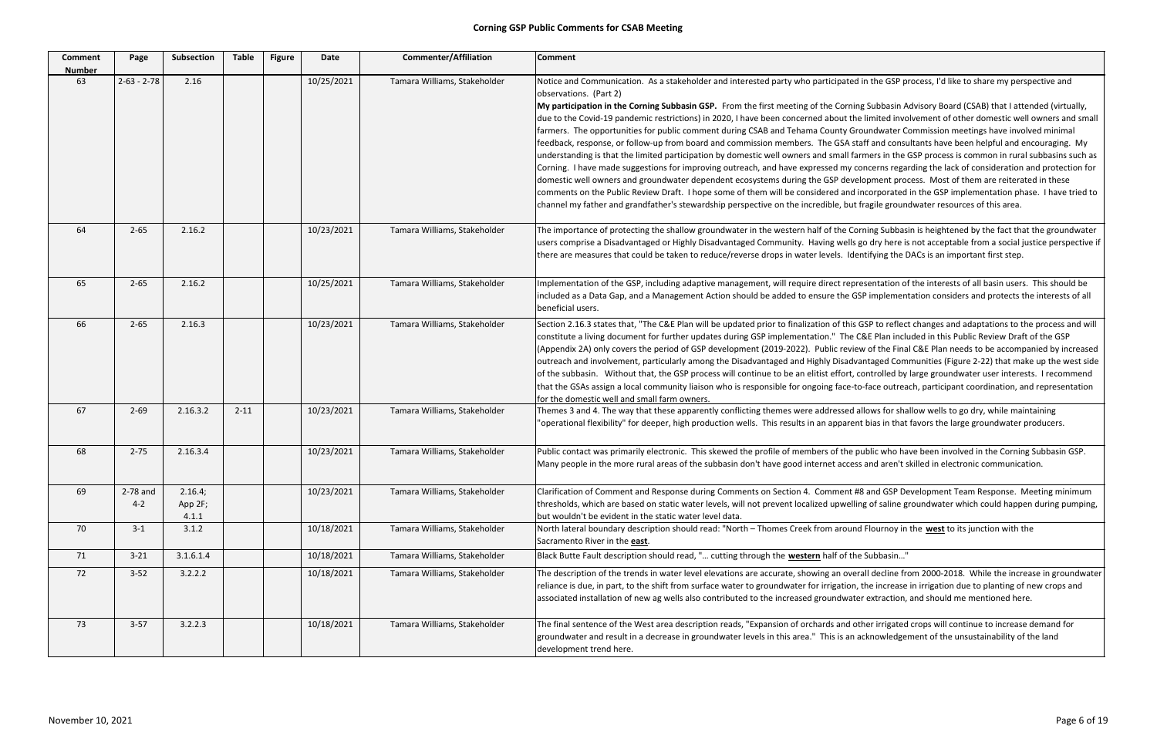| <b>Comment</b><br><b>Number</b> | Page                  | Subsection                  | <b>Table</b> | <b>Figure</b> | Date       | <b>Commenter/Affiliation</b> | <b>Comment</b>                                                                                                                                                                                                                                                                                                                                                                                                                                                                                                                                                                                                                                                                                                                                                                                                                                                                                                                                                                                                                |
|---------------------------------|-----------------------|-----------------------------|--------------|---------------|------------|------------------------------|-------------------------------------------------------------------------------------------------------------------------------------------------------------------------------------------------------------------------------------------------------------------------------------------------------------------------------------------------------------------------------------------------------------------------------------------------------------------------------------------------------------------------------------------------------------------------------------------------------------------------------------------------------------------------------------------------------------------------------------------------------------------------------------------------------------------------------------------------------------------------------------------------------------------------------------------------------------------------------------------------------------------------------|
| 63                              | $2 - 63 - 2 - 78$     | 2.16                        |              |               | 10/25/2021 | Tamara Williams, Stakeholder | Notice and Communication. As a stakeholder and interested party who participated in the GSP p<br>observations. (Part 2)<br>My participation in the Corning Subbasin GSP. From the first meeting of the Corning Subbasin A<br>due to the Covid-19 pandemic restrictions) in 2020, I have been concerned about the limited invo<br>farmers. The opportunities for public comment during CSAB and Tehama County Groundwater C<br>feedback, response, or follow-up from board and commission members. The GSA staff and consu<br>understanding is that the limited participation by domestic well owners and small farmers in the<br>Corning. I have made suggestions for improving outreach, and have expressed my concerns rega<br>domestic well owners and groundwater dependent ecosystems during the GSP development pro<br>comments on the Public Review Draft. I hope some of them will be considered and incorporated<br>channel my father and grandfather's stewardship perspective on the incredible, but fragile groun |
| 64                              | $2 - 65$              | 2.16.2                      |              |               | 10/23/2021 | Tamara Williams, Stakeholder | The importance of protecting the shallow groundwater in the western half of the Corning Subbas<br>users comprise a Disadvantaged or Highly Disadvantaged Community. Having wells go dry here is<br>there are measures that could be taken to reduce/reverse drops in water levels. Identifying the I                                                                                                                                                                                                                                                                                                                                                                                                                                                                                                                                                                                                                                                                                                                          |
| 65                              | $2 - 65$              | 2.16.2                      |              |               | 10/25/2021 | Tamara Williams, Stakeholder | Implementation of the GSP, including adaptive management, will require direct representation o<br>included as a Data Gap, and a Management Action should be added to ensure the GSP implemen<br>beneficial users.                                                                                                                                                                                                                                                                                                                                                                                                                                                                                                                                                                                                                                                                                                                                                                                                             |
| 66                              | $2 - 65$              | 2.16.3                      |              |               | 10/23/2021 | Tamara Williams, Stakeholder | Section 2.16.3 states that, "The C&E Plan will be updated prior to finalization of this GSP to reflec<br>constitute a living document for further updates during GSP implementation." The C&E Plan incl<br>(Appendix 2A) only covers the period of GSP development (2019-2022). Public review of the Fina<br>outreach and involvement, particularly among the Disadvantaged and Highly Disadvantaged Com<br>of the subbasin. Without that, the GSP process will continue to be an elitist effort, controlled by<br>that the GSAs assign a local community liaison who is responsible for ongoing face-to-face outrea<br>for the domestic well and small farm owners.                                                                                                                                                                                                                                                                                                                                                          |
| 67                              | $2 - 69$              | 2.16.3.2                    | $2 - 11$     |               | 10/23/2021 | Tamara Williams, Stakeholder | Themes 3 and 4. The way that these apparently conflicting themes were addressed allows for sha<br>"operational flexibility" for deeper, high production wells. This results in an apparent bias in that                                                                                                                                                                                                                                                                                                                                                                                                                                                                                                                                                                                                                                                                                                                                                                                                                       |
| 68                              | $2 - 75$              | 2.16.3.4                    |              |               | 10/23/2021 | Tamara Williams, Stakeholder | Public contact was primarily electronic. This skewed the profile of members of the public who ha<br>Many people in the more rural areas of the subbasin don't have good internet access and aren't s                                                                                                                                                                                                                                                                                                                                                                                                                                                                                                                                                                                                                                                                                                                                                                                                                          |
| 69                              | $2-78$ and<br>$4 - 2$ | 2.16.4;<br>App 2F;<br>4.1.1 |              |               | 10/23/2021 | Tamara Williams, Stakeholder | Clarification of Comment and Response during Comments on Section 4. Comment #8 and GSP Do<br>thresholds, which are based on static water levels, will not prevent localized upwelling of saline g<br>but wouldn't be evident in the static water level data.                                                                                                                                                                                                                                                                                                                                                                                                                                                                                                                                                                                                                                                                                                                                                                  |
| 70                              | $3 - 1$               | 3.1.2                       |              |               | 10/18/2021 | Tamara Williams, Stakeholder | North lateral boundary description should read: "North - Thomes Creek from around Flournoy in<br>Sacramento River in the east.                                                                                                                                                                                                                                                                                                                                                                                                                                                                                                                                                                                                                                                                                                                                                                                                                                                                                                |
| 71                              | $3 - 21$              | 3.1.6.1.4                   |              |               | 10/18/2021 | Tamara Williams, Stakeholder | Black Butte Fault description should read, " cutting through the western half of the Subbasin'                                                                                                                                                                                                                                                                                                                                                                                                                                                                                                                                                                                                                                                                                                                                                                                                                                                                                                                                |
| 72                              | $3 - 52$              | 3.2.2.2                     |              |               | 10/18/2021 | Tamara Williams, Stakeholder | The description of the trends in water level elevations are accurate, showing an overall decline fr<br>reliance is due, in part, to the shift from surface water to groundwater for irrigation, the increase<br>associated installation of new ag wells also contributed to the increased groundwater extraction,                                                                                                                                                                                                                                                                                                                                                                                                                                                                                                                                                                                                                                                                                                             |
| 73                              | $3-57$                | 3.2.2.3                     |              |               | 10/18/2021 | Tamara Williams, Stakeholder | The final sentence of the West area description reads, "Expansion of orchards and other irrigated<br>groundwater and result in a decrease in groundwater levels in this area." This is an acknowledge<br>development trend here.                                                                                                                                                                                                                                                                                                                                                                                                                                                                                                                                                                                                                                                                                                                                                                                              |

ed in the GSP process, I'd like to share my perspective and

**ning Subbasin Advisory Board (CSAB) that I attended (virtually,** the limited involvement of other domestic well owners and small Groundwater Commission meetings have involved minimal staff and consultants have been helpful and encouraging. My farmers in the GSP process is common in rural subbasins such as concerns regarding the lack of consideration and protection for velopment process. Most of them are reiterated in these nd incorporated in the GSP implementation phase. I have tried to ut fragile groundwater resources of this area.

Corning Subbasin is heightened by the fact that the groundwater ls go dry here is not acceptable from a social justice perspective if dentifying the DACs is an important first step.

epresentation of the interests of all basin users. This should be GSP implementation considers and protects the interests of all

is GSP to reflect changes and adaptations to the process and will e C&E Plan included in this Public Review Draft of the GSP iew of the Final C&E Plan needs to be accompanied by increased dvantaged Communities (Figure 2-22) that make up the west side :, controlled by large groundwater user interests. I recommend -to-face outreach, participant coordination, and representation

d allows for shallow wells to go dry, while maintaining ent bias in that favors the large groundwater producers.

e public who have been involved in the Corning Subbasin GSP. ess and aren't skilled in electronic communication.

t #8 and GSP Development Team Response. Meeting minimum Iling of saline groundwater which could happen during pumping,

and Flournoy in the west to its junction with the

rerall decline from 2000-2018. While the increase in groundwater on, the increase in irrigation due to planting of new crops and ater extraction, and should me mentioned here.

other irrigated crops will continue to increase demand for an acknowledgement of the unsustainability of the land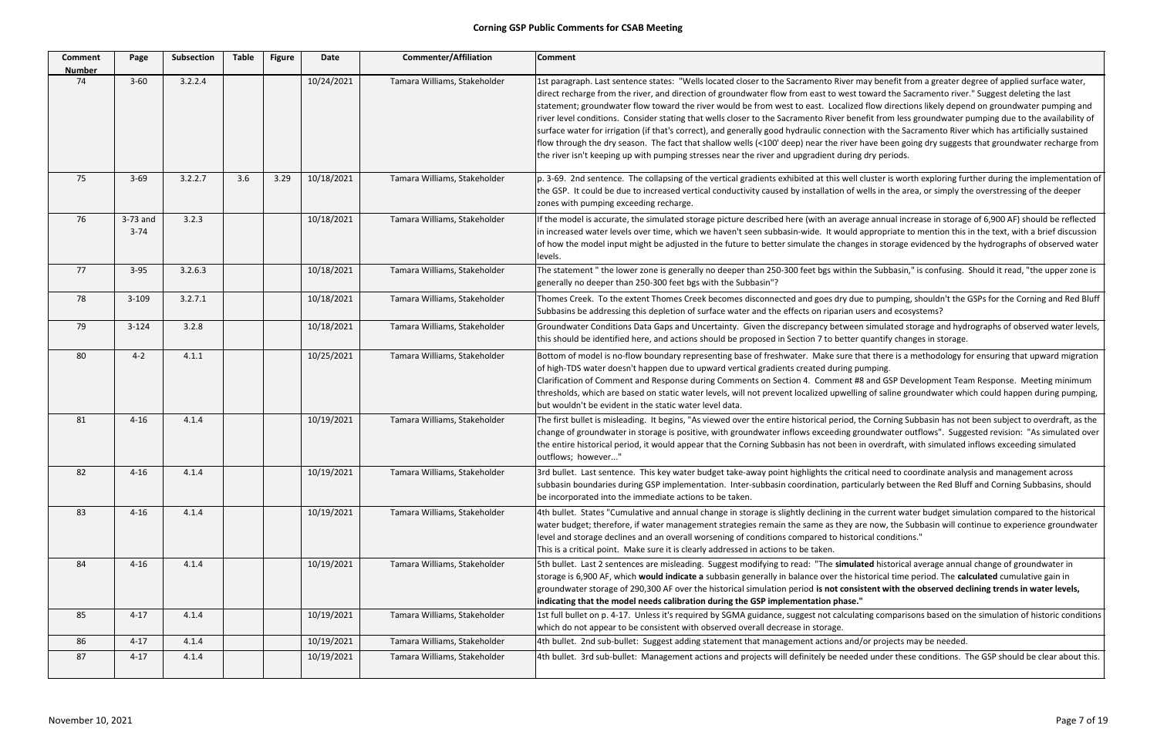**ullated** historical average annual change of groundwater in e historical time period. The **calculated** cumulative gain in groundwater storage of 290,300 AF over the historical simulation period **is not consistent with the observed declining trends in water levels,**

ulating comparisons based on the simulation of historic conditions

and/or projects may be needed.

eded under these conditions. The GSP should be clear about this.

| <b>Comment</b><br><b>Number</b> | Page                 | <b>Subsection</b> | <b>Table</b> | <b>Figure</b> | Date       | <b>Commenter/Affiliation</b> | <b>Comment</b>                                                                                                                                                                                                                                                                                                                                                                                                                                                                                                                                                                                                                                |
|---------------------------------|----------------------|-------------------|--------------|---------------|------------|------------------------------|-----------------------------------------------------------------------------------------------------------------------------------------------------------------------------------------------------------------------------------------------------------------------------------------------------------------------------------------------------------------------------------------------------------------------------------------------------------------------------------------------------------------------------------------------------------------------------------------------------------------------------------------------|
| 74                              | $3 - 60$             | 3.2.2.4           |              |               | 10/24/2021 | Tamara Williams, Stakeholder | 1st paragraph. Last sentence states: "Wells located closer to the Sacramento River m<br>direct recharge from the river, and direction of groundwater flow from east to west t<br>statement; groundwater flow toward the river would be from west to east. Localized<br>river level conditions. Consider stating that wells closer to the Sacramento River ben<br>surface water for irrigation (if that's correct), and generally good hydraulic connection<br>flow through the dry season. The fact that shallow wells (<100' deep) near the river I<br>the river isn't keeping up with pumping stresses near the river and upgradient during |
| 75                              | $3 - 69$             | 3.2.2.7           | 3.6          | 3.29          | 10/18/2021 | Tamara Williams, Stakeholder | p. 3-69. 2nd sentence. The collapsing of the vertical gradients exhibited at this well of<br>the GSP. It could be due to increased vertical conductivity caused by installation of w<br>zones with pumping exceeding recharge.                                                                                                                                                                                                                                                                                                                                                                                                                |
| 76                              | 3-73 and<br>$3 - 74$ | 3.2.3             |              |               | 10/18/2021 | Tamara Williams, Stakeholder | If the model is accurate, the simulated storage picture described here (with an averag<br>in increased water levels over time, which we haven't seen subbasin-wide. It would a<br>of how the model input might be adjusted in the future to better simulate the change<br>levels.                                                                                                                                                                                                                                                                                                                                                             |
| 77                              | $3-95$               | 3.2.6.3           |              |               | 10/18/2021 | Tamara Williams, Stakeholder | The statement " the lower zone is generally no deeper than 250-300 feet bgs within t<br>generally no deeper than 250-300 feet bgs with the Subbasin"?                                                                                                                                                                                                                                                                                                                                                                                                                                                                                         |
| 78                              | $3 - 109$            | 3.2.7.1           |              |               | 10/18/2021 | Tamara Williams, Stakeholder | Thomes Creek. To the extent Thomes Creek becomes disconnected and goes dry due<br>Subbasins be addressing this depletion of surface water and the effects on riparian us                                                                                                                                                                                                                                                                                                                                                                                                                                                                      |
| 79                              | $3 - 124$            | 3.2.8             |              |               | 10/18/2021 | Tamara Williams, Stakeholder | Groundwater Conditions Data Gaps and Uncertainty. Given the discrepancy betweer<br>this should be identified here, and actions should be proposed in Section 7 to better                                                                                                                                                                                                                                                                                                                                                                                                                                                                      |
| 80                              | $4 - 2$              | 4.1.1             |              |               | 10/25/2021 | Tamara Williams, Stakeholder | Bottom of model is no-flow boundary representing base of freshwater. Make sure th<br>of high-TDS water doesn't happen due to upward vertical gradients created during pu<br>Clarification of Comment and Response during Comments on Section 4. Comment #8<br>thresholds, which are based on static water levels, will not prevent localized upwellin<br>but wouldn't be evident in the static water level data.                                                                                                                                                                                                                              |
| 81                              | $4 - 16$             | 4.1.4             |              |               | 10/19/2021 | Tamara Williams, Stakeholder | The first bullet is misleading. It begins, "As viewed over the entire historical period, t<br>change of groundwater in storage is positive, with groundwater inflows exceeding gro<br>the entire historical period, it would appear that the Corning Subbasin has not been i<br>outflows; however"                                                                                                                                                                                                                                                                                                                                            |
| 82                              | $4 - 16$             | 4.1.4             |              |               | 10/19/2021 | Tamara Williams, Stakeholder | 3rd bullet. Last sentence. This key water budget take-away point highlights the crition<br>subbasin boundaries during GSP implementation. Inter-subbasin coordination, partion<br>be incorporated into the immediate actions to be taken.                                                                                                                                                                                                                                                                                                                                                                                                     |
| 83                              | $4 - 16$             | 4.1.4             |              |               | 10/19/2021 | Tamara Williams, Stakeholder | 4th bullet. States "Cumulative and annual change in storage is slightly declining in the<br>water budget; therefore, if water management strategies remain the same as they ar<br>level and storage declines and an overall worsening of conditions compared to histor<br>This is a critical point. Make sure it is clearly addressed in actions to be taken.                                                                                                                                                                                                                                                                                 |
| 84                              | $4 - 16$             | 4.1.4             |              |               | 10/19/2021 | Tamara Williams, Stakeholder | 5th bullet. Last 2 sentences are misleading. Suggest modifying to read: "The simular<br>storage is 6,900 AF, which would indicate a subbasin generally in balance over the hi<br>groundwater storage of 290,300 AF over the historical simulation period is not consis<br>indicating that the model needs calibration during the GSP implementation phase."                                                                                                                                                                                                                                                                                   |
| 85                              | $4 - 17$             | 4.1.4             |              |               | 10/19/2021 | Tamara Williams, Stakeholder | 1st full bullet on p. 4-17. Unless it's required by SGMA guidance, suggest not calculat<br>which do not appear to be consistent with observed overall decrease in storage.                                                                                                                                                                                                                                                                                                                                                                                                                                                                    |
| 86                              | $4 - 17$             | 4.1.4             |              |               | 10/19/2021 | Tamara Williams, Stakeholder | 4th bullet. 2nd sub-bullet: Suggest adding statement that management actions and/                                                                                                                                                                                                                                                                                                                                                                                                                                                                                                                                                             |
| 87                              | $4 - 17$             | 4.1.4             |              |               | 10/19/2021 | Tamara Williams, Stakeholder | 4th bullet. 3rd sub-bullet: Management actions and projects will definitely be neede                                                                                                                                                                                                                                                                                                                                                                                                                                                                                                                                                          |

er may benefit from a greater degree of applied surface water, est toward the Sacramento river." Suggest deleting the last ized flow directions likely depend on groundwater pumping and benefit from less groundwater pumping due to the availability of ction with the Sacramento River which has artificially sustained ver have been going dry suggests that groundwater recharge from ring dry periods.

rell cluster is worth exploring further during the implementation of of wells in the area, or simply the overstressing of the deeper

 $\overline{1}$ erage annual increase in storage of 6,900 AF) should be reflected ild appropriate to mention this in the text, with a brief discussion anges in storage evidenced by the hydrographs of observed water

in the Subbasin," is confusing. Should it read, "the upper zone is

due to pumping, shouldn't the GSPs for the Corning and Red Bluff in users and ecosystems?

reen simulated storage and hydrographs of observed water levels, ter quantify changes in storage.

e that there is a methodology for ensuring that upward migration g pumping.

of Comment Team Response. Meeting minimum elling of saline groundwater which could happen during pumping,

od, the Corning Subbasin has not been subject to overdraft, as the g groundwater outflows". Suggested revision: "As simulated over en in overdraft, with simulated inflows exceeding simulated

ritical need to coordinate analysis and management across articularly between the Red Bluff and Corning Subbasins, should

n the current water budget simulation compared to the historical by are now, the Subbasin will continue to experience groundwater storical conditions."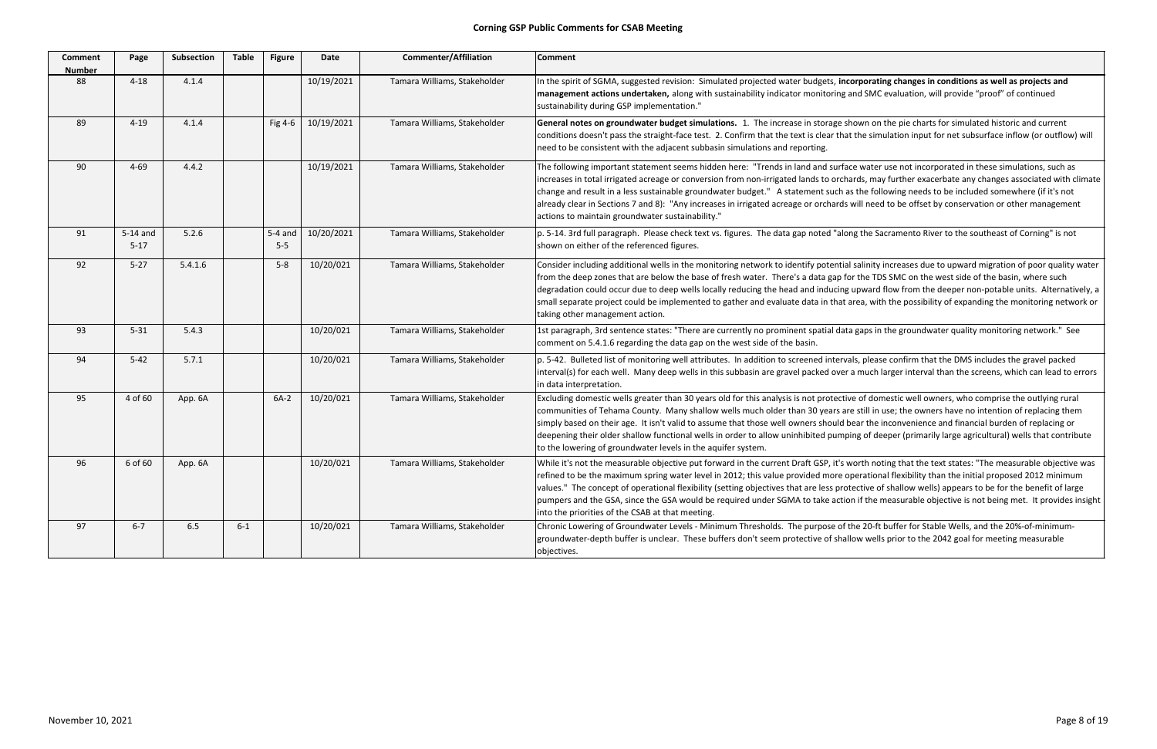| <b>Comment</b><br><b>Number</b> | Page                 | Subsection | <b>Table</b> | <b>Figure</b>      | <b>Date</b> | <b>Commenter/Affiliation</b> | <b>Comment</b>                                                                                                                                                                                                                                                                                                                                                                                                    |
|---------------------------------|----------------------|------------|--------------|--------------------|-------------|------------------------------|-------------------------------------------------------------------------------------------------------------------------------------------------------------------------------------------------------------------------------------------------------------------------------------------------------------------------------------------------------------------------------------------------------------------|
| 88                              | $4 - 18$             | 4.1.4      |              |                    | 10/19/2021  | Tamara Williams, Stakeholder | In the spirit of SGMA, suggested revision: Simulated projected water budgets, inc<br>management actions undertaken, along with sustainability indicator monitoring a<br>sustainability during GSP implementation."                                                                                                                                                                                                |
| 89                              | $4 - 19$             | 4.1.4      |              | Fig 4-6            | 10/19/2021  | Tamara Williams, Stakeholder | General notes on groundwater budget simulations. 1. The increase in storage sl<br>conditions doesn't pass the straight-face test. 2. Confirm that the text is clear tha<br>need to be consistent with the adjacent subbasin simulations and reporting.                                                                                                                                                            |
| 90                              | $4 - 69$             | 4.4.2      |              |                    | 10/19/2021  | Tamara Williams, Stakeholder | The following important statement seems hidden here: "Trends in land and surfa<br>increases in total irrigated acreage or conversion from non-irrigated lands to orch<br>change and result in a less sustainable groundwater budget." A statement such a<br>already clear in Sections 7 and 8): "Any increases in irrigated acreage or orchards<br>actions to maintain groundwater sustainability."               |
| 91                              | 5-14 and<br>$5 - 17$ | 5.2.6      |              | $5-4$ and<br>$5-5$ | 10/20/2021  | Tamara Williams, Stakeholder | p. 5-14. 3rd full paragraph. Please check text vs. figures. The data gap noted "alo<br>shown on either of the referenced figures.                                                                                                                                                                                                                                                                                 |
| 92                              | $5 - 27$             | 5.4.1.6    |              | $5 - 8$            | 10/20/021   | Tamara Williams, Stakeholder | Consider including additional wells in the monitoring network to identify potentia<br>from the deep zones that are below the base of fresh water. There's a data gap fo<br>degradation could occur due to deep wells locally reducing the head and inducing<br>small separate project could be implemented to gather and evaluate data in that a<br>taking other management action.                               |
| 93                              | $5 - 31$             | 5.4.3      |              |                    | 10/20/021   | Tamara Williams, Stakeholder | 1st paragraph, 3rd sentence states: "There are currently no prominent spatial data<br>comment on 5.4.1.6 regarding the data gap on the west side of the basin.                                                                                                                                                                                                                                                    |
| 94                              | $5 - 42$             | 5.7.1      |              |                    | 10/20/021   | Tamara Williams, Stakeholder | p. 5-42. Bulleted list of monitoring well attributes. In addition to screened interva<br>interval(s) for each well. Many deep wells in this subbasin are gravel packed over<br>in data interpretation.                                                                                                                                                                                                            |
| 95                              | 4 of 60              | App. 6A    |              | $6A-2$             | 10/20/021   | Tamara Williams, Stakeholder | Excluding domestic wells greater than 30 years old for this analysis is not protectiv<br>communities of Tehama County. Many shallow wells much older than 30 years ar<br>simply based on their age. It isn't valid to assume that those well owners should b<br>deepening their older shallow functional wells in order to allow uninhibited pump<br>to the lowering of groundwater levels in the aquifer system. |
| 96                              | 6 of 60              | App. 6A    |              |                    | 10/20/021   | Tamara Williams, Stakeholder | While it's not the measurable objective put forward in the current Draft GSP, it's v<br>refined to be the maximum spring water level in 2012; this value provided more o<br>values." The concept of operational flexibility (setting objectives that are less prot<br>pumpers and the GSA, since the GSA would be required under SGMA to take actic<br>into the priorities of the CSAB at that meeting.           |
| 97                              | $6 - 7$              | 6.5        | $6 - 1$      |                    | 10/20/021   | Tamara Williams, Stakeholder | Chronic Lowering of Groundwater Levels - Minimum Thresholds. The purpose of t<br>groundwater-depth buffer is unclear. These buffers don't seem protective of shal<br>objectives.                                                                                                                                                                                                                                  |

corporating changes in conditions as well as projects and and SMC evaluation, will provide "proof" of continued

hown on the pie charts for simulated historic and current at the simulation input for net subsurface inflow (or outflow) will

ace water use not incorporated in these simulations, such as ards, may further exacerbate any changes associated with climate as the following needs to be included somewhere (if it's not will need to be offset by conservation or other management

Ing the Sacramento River to the southeast of Corning" is not

Il salinity increases due to upward migration of poor quality water or the TDS SMC on the west side of the basin, where such gupward flow from the deeper non‐potable units. Alternatively, a area, with the possibility of expanding the monitoring network or

a gaps in the groundwater quality monitoring network." See

als, please confirm that the DMS includes the gravel packed a much larger interval than the screens, which can lead to errors

ve of domestic well owners, who comprise the outlying rural re still in use; the owners have no intention of replacing them bear the inconvenience and financial burden of replacing or bing of deeper (primarily large agricultural) wells that contribute

worth noting that the text states: "The measurable objective was pperational flexibility than the initial proposed 2012 minimum tective of shallow wells) appears to be for the benefit of large on if the measurable objective is not being met. It provides insight

the 20-ft buffer for Stable Wells, and the 20%-of-minimumllow wells prior to the 2042 goal for meeting measurable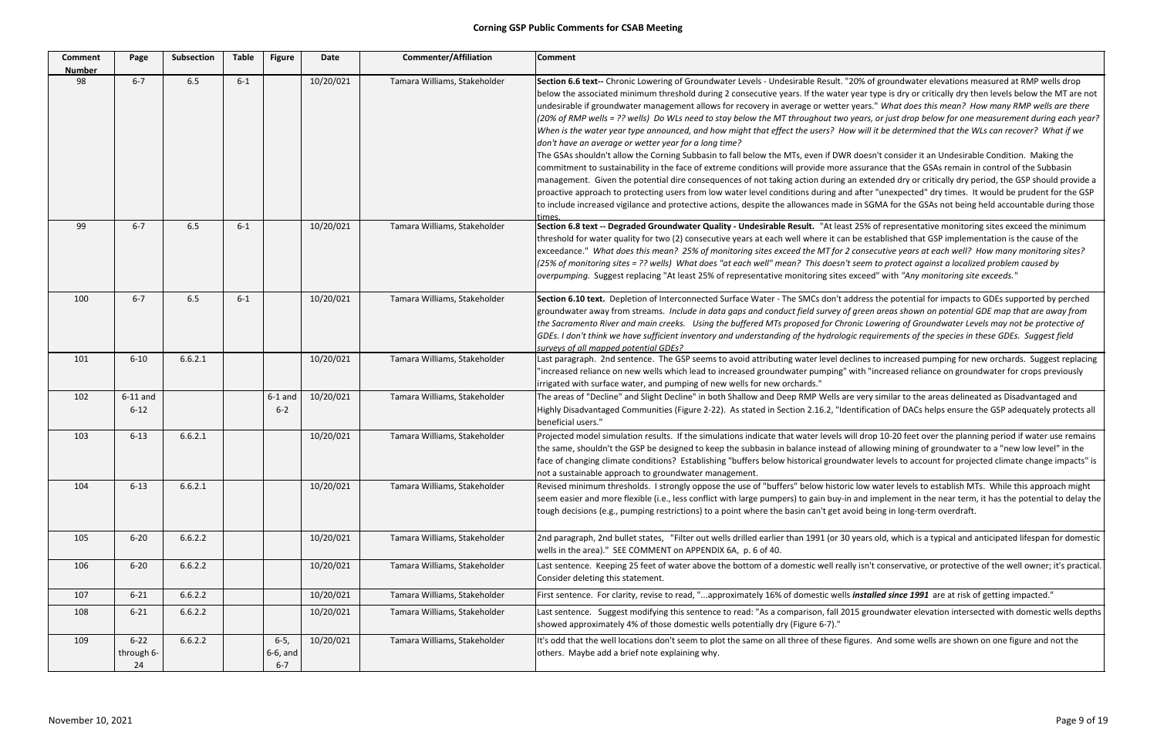| <b>Comment</b><br><b>Number</b> | Page                         | <b>Subsection</b> | <b>Table</b> | <b>Figure</b>                    | Date      | <b>Commenter/Affiliation</b> | <b>Comment</b>                                                                                                                                                                                                                                                                                                                                                                                                                                                                                                                                                                                                                                                                                                                                                                                                                                                                                                               |
|---------------------------------|------------------------------|-------------------|--------------|----------------------------------|-----------|------------------------------|------------------------------------------------------------------------------------------------------------------------------------------------------------------------------------------------------------------------------------------------------------------------------------------------------------------------------------------------------------------------------------------------------------------------------------------------------------------------------------------------------------------------------------------------------------------------------------------------------------------------------------------------------------------------------------------------------------------------------------------------------------------------------------------------------------------------------------------------------------------------------------------------------------------------------|
| 98                              | $6 - 7$                      | 6.5               | $6 - 1$      |                                  | 10/20/021 | Tamara Williams, Stakeholder | Section 6.6 text-- Chronic Lowering of Groundwater Levels - Undesirable Result."<br>below the associated minimum threshold during 2 consecutive years. If the water<br>undesirable if groundwater management allows for recovery in average or wetter<br>(20% of RMP wells = ?? wells) Do WLs need to stay below the MT throughout two<br>When is the water year type announced, and how might that effect the users? Ho<br>don't have an average or wetter year for a long time?<br>The GSAs shouldn't allow the Corning Subbasin to fall below the MTs, even if DWI<br>commitment to sustainability in the face of extreme conditions will provide more<br>management. Given the potential dire consequences of not taking action during<br>proactive approach to protecting users from low water level conditions during an<br>to include increased vigilance and protective actions, despite the allowances mad<br>times |
| 99                              | $6 - 7$                      | $6.5\,$           | $6 - 1$      |                                  | 10/20/021 | Tamara Williams, Stakeholder | Section 6.8 text -- Degraded Groundwater Quality - Undesirable Result. "At leas<br>threshold for water quality for two (2) consecutive years at each well where it car<br>exceedance." What does this mean? 25% of monitoring sites exceed the MT for 2<br>(25% of monitoring sites = ?? wells) What does "at each well" mean? This doesn't<br>overpumping. Suggest replacing "At least 25% of representative monitoring sites                                                                                                                                                                                                                                                                                                                                                                                                                                                                                               |
| 100                             | $6 - 7$                      | 6.5               | $6 - 1$      |                                  | 10/20/021 | Tamara Williams, Stakeholder | Section 6.10 text. Depletion of Interconnected Surface Water - The SMCs don't a<br>groundwater away from streams. Include in data gaps and conduct field survey o<br>the Sacramento River and main creeks.  Using the buffered MTs proposed for Chr<br>GDEs. I don't think we have sufficient inventory and understanding of the hydrolog<br>surveys of all mapped potential GDEs?                                                                                                                                                                                                                                                                                                                                                                                                                                                                                                                                           |
| 101                             | $6 - 10$                     | 6.6.2.1           |              |                                  | 10/20/021 | Tamara Williams, Stakeholder | Last paragraph. 2nd sentence. The GSP seems to avoid attributing water level de<br>"increased reliance on new wells which lead to increased groundwater pumping"<br>irrigated with surface water, and pumping of new wells for new orchards."                                                                                                                                                                                                                                                                                                                                                                                                                                                                                                                                                                                                                                                                                |
| 102                             | $6-11$ and<br>$6 - 12$       |                   |              | $6-1$ and<br>$6 - 2$             | 10/20/021 | Tamara Williams, Stakeholder | The areas of "Decline" and Slight Decline" in both Shallow and Deep RMP Wells ar<br>Highly Disadvantaged Communities (Figure 2-22). As stated in Section 2.16.2, "Ide<br>beneficial users."                                                                                                                                                                                                                                                                                                                                                                                                                                                                                                                                                                                                                                                                                                                                  |
| 103                             | $6 - 13$                     | 6.6.2.1           |              |                                  | 10/20/021 | Tamara Williams, Stakeholder | Projected model simulation results. If the simulations indicate that water levels w<br>the same, shouldn't the GSP be designed to keep the subbasin in balance instead<br>face of changing climate conditions? Establishing "buffers below historical ground<br>not a sustainable approach to groundwater management.                                                                                                                                                                                                                                                                                                                                                                                                                                                                                                                                                                                                        |
| 104                             | $6 - 13$                     | 6.6.2.1           |              |                                  | 10/20/021 | Tamara Williams, Stakeholder | Revised minimum thresholds. I strongly oppose the use of "buffers" below histor<br>seem easier and more flexible (i.e., less conflict with large pumpers) to gain buy-in<br>tough decisions (e.g., pumping restrictions) to a point where the basin can't get a                                                                                                                                                                                                                                                                                                                                                                                                                                                                                                                                                                                                                                                              |
| 105                             | $6 - 20$                     | 6.6.2.2           |              |                                  | 10/20/021 | Tamara Williams, Stakeholder | 2nd paragraph, 2nd bullet states, "Filter out wells drilled earlier than 1991 (or 30<br>wells in the area)." SEE COMMENT on APPENDIX 6A, p. 6 of 40.                                                                                                                                                                                                                                                                                                                                                                                                                                                                                                                                                                                                                                                                                                                                                                         |
| 106                             | $6 - 20$                     | 6.6.2.2           |              |                                  | 10/20/021 | Tamara Williams, Stakeholder | Last sentence. Keeping 25 feet of water above the bottom of a domestic well rea<br>Consider deleting this statement.                                                                                                                                                                                                                                                                                                                                                                                                                                                                                                                                                                                                                                                                                                                                                                                                         |
| 107                             | $6 - 21$                     | 6.6.2.2           |              |                                  | 10/20/021 | Tamara Williams, Stakeholder | First sentence. For clarity, revise to read, "approximately 16% of domestic wells                                                                                                                                                                                                                                                                                                                                                                                                                                                                                                                                                                                                                                                                                                                                                                                                                                            |
| 108                             | $6 - 21$                     | 6.6.2.2           |              |                                  | 10/20/021 | Tamara Williams, Stakeholder | Last sentence. Suggest modifying this sentence to read: "As a comparison, fall 20<br>showed approximately 4% of those domestic wells potentially dry (Figure 6-7)."                                                                                                                                                                                                                                                                                                                                                                                                                                                                                                                                                                                                                                                                                                                                                          |
| 109                             | $6 - 22$<br>through 6-<br>24 | 6.6.2.2           |              | $6-5,$<br>$6-6$ , and<br>$6 - 7$ | 10/20/021 | Tamara Williams, Stakeholder | It's odd that the well locations don't seem to plot the same on all three of these fi<br>others. Maybe add a brief note explaining why.                                                                                                                                                                                                                                                                                                                                                                                                                                                                                                                                                                                                                                                                                                                                                                                      |

'20% of groundwater elevations measured at RMP wells drop tyear type is dry or critically dry then levels below the MT are not if groundwater management allows for recovery in average or wetter years." *What does this mean? How many RMP wells are there* years, or just drop below for one measurement during each year? ow will it be determined that the WLs can recover? What if we

R doesn't consider it an Undesirable Condition. Making the assurance that the GSAs remain in control of the Subbasin an extended dry or critically dry period, the GSP should provide a d after "unexpected" dry times. It would be prudent for the GSP le in SGMA for the GSAs not being held accountable during those

st 25% of representative monitoring sites exceed the minimum n be established that GSP implementation is the cause of the *of monitoring sites exceed the MT for 2 consecutive years at each well? How many monitoring sites?* t seem to protect against a localized problem caused by  $exceed"$  with "Any monitoring site exceeds."

ddress the potential for impacts to GDEs supported by perched f green areas shown on potential GDE map that are away from onic Lowering of Groundwater Levels may not be protective of gic requirements of the species in these GDEs. Suggest field

eclines to increased pumping for new orchards. Suggest replacing with "increased reliance on groundwater for crops previously

re very similar to the areas delineated as Disadvantaged and entification of DACs helps ensure the GSP adequately protects all

vill drop 10-20 feet over the planning period if water use remains of allowing mining of groundwater to a "new low level" in the dwater levels to account for projected climate change impacts" is

ic low water levels to establish MTs. While this approach might n and implement in the near term, it has the potential to delay the void being in long-term overdraft.

1 years old, which is a typical and anticipated lifespan for domestic

Ily isn't conservative, or protective of the well owner; it's practical.

5 *installed since 1991* are at risk of getting impacted."

015 groundwater elevation intersected with domestic wells depths

igures. And some wells are shown on one figure and not the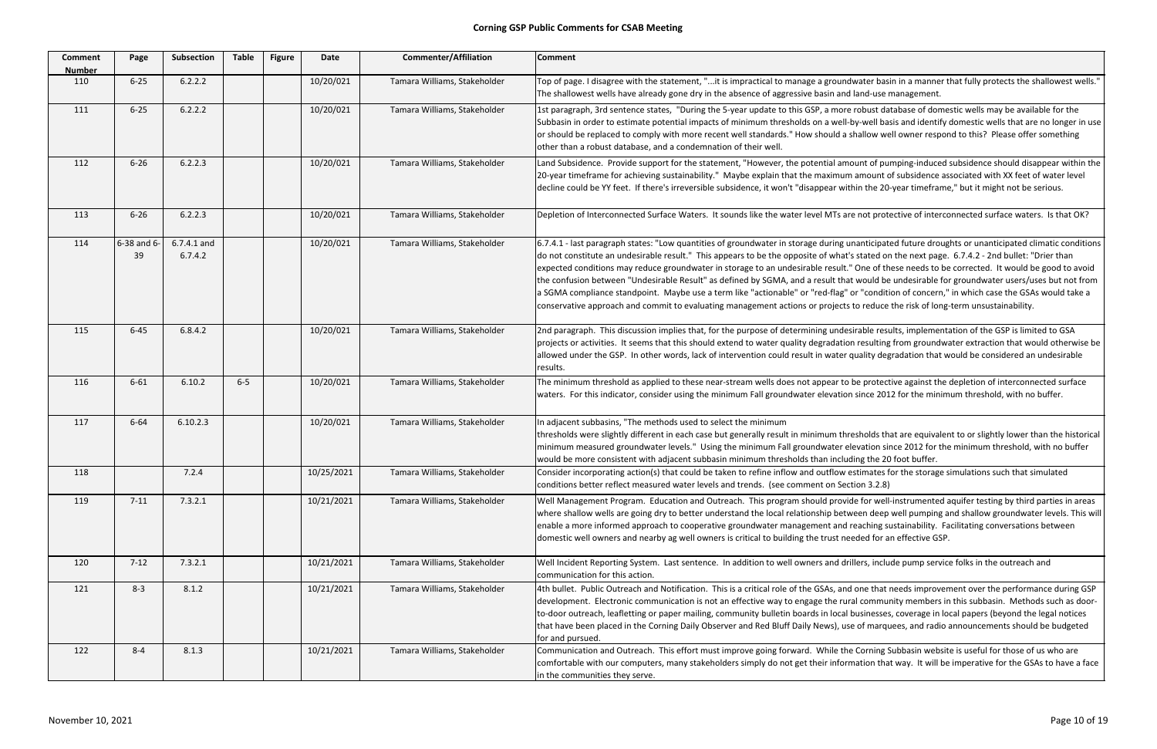| <b>Comment</b><br><b>Number</b> | Page              | Subsection             | <b>Table</b> | <b>Figure</b> | <b>Date</b> | <b>Commenter/Affiliation</b> | <b>Comment</b>                                                                                                                                                                                                                                                                                                                                                                                                                                                                                                    |
|---------------------------------|-------------------|------------------------|--------------|---------------|-------------|------------------------------|-------------------------------------------------------------------------------------------------------------------------------------------------------------------------------------------------------------------------------------------------------------------------------------------------------------------------------------------------------------------------------------------------------------------------------------------------------------------------------------------------------------------|
| 110                             | $6 - 25$          | 6.2.2.2                |              |               | 10/20/021   | Tamara Williams, Stakeholder | Top of page. I disagree with the statement, "it is impractical to manage a groun<br>The shallowest wells have already gone dry in the absence of aggressive basin and                                                                                                                                                                                                                                                                                                                                             |
| 111                             | $6 - 25$          | 6.2.2.2                |              |               | 10/20/021   | Tamara Williams, Stakeholder | 1st paragraph, 3rd sentence states, "During the 5-year update to this GSP, a mor<br>Subbasin in order to estimate potential impacts of minimum thresholds on a well-<br>or should be replaced to comply with more recent well standards." How should a<br>other than a robust database, and a condemnation of their well.                                                                                                                                                                                         |
| 112                             | $6 - 26$          | 6.2.2.3                |              |               | 10/20/021   | Tamara Williams, Stakeholder | Land Subsidence. Provide support for the statement, "However, the potential am<br>20-year timeframe for achieving sustainability." Maybe explain that the maximur<br>decline could be YY feet. If there's irreversible subsidence, it won't "disappear wi                                                                                                                                                                                                                                                         |
| 113                             | $6 - 26$          | 6.2.2.3                |              |               | 10/20/021   | Tamara Williams, Stakeholder | Depletion of Interconnected Surface Waters. It sounds like the water level MTs a                                                                                                                                                                                                                                                                                                                                                                                                                                  |
| 114                             | 6-38 and 6-<br>39 | 6.7.4.1 and<br>6.7.4.2 |              |               | 10/20/021   | Tamara Williams, Stakeholder | 6.7.4.1 - last paragraph states: "Low quantities of groundwater in storage during (<br>do not constitute an undesirable result." This appears to be the opposite of what<br>expected conditions may reduce groundwater in storage to an undesirable result.<br>the confusion between "Undesirable Result" as defined by SGMA, and a result tha<br>a SGMA compliance standpoint. Maybe use a term like "actionable" or "red-flag"<br>conservative approach and commit to evaluating management actions or projects |
| 115                             | $6 - 45$          | 6.8.4.2                |              |               | 10/20/021   | Tamara Williams, Stakeholder | 2nd paragraph. This discussion implies that, for the purpose of determining unde<br>projects or activities. It seems that this should extend to water quality degradation<br>allowed under the GSP. In other words, lack of intervention could result in water<br>results.                                                                                                                                                                                                                                        |
| 116                             | $6 - 61$          | 6.10.2                 | $6-5$        |               | 10/20/021   | Tamara Williams, Stakeholder | The minimum threshold as applied to these near-stream wells does not appear to<br>waters. For this indicator, consider using the minimum Fall groundwater elevatio                                                                                                                                                                                                                                                                                                                                                |
| 117                             | $6 - 64$          | 6.10.2.3               |              |               | 10/20/021   | Tamara Williams, Stakeholder | In adjacent subbasins, "The methods used to select the minimum<br>thresholds were slightly different in each case but generally result in minimum th<br>minimum measured groundwater levels." Using the minimum Fall groundwater e<br>would be more consistent with adjacent subbasin minimum thresholds than inclu                                                                                                                                                                                               |
| 118                             |                   | 7.2.4                  |              |               | 10/25/2021  | Tamara Williams, Stakeholder | Consider incorporating action(s) that could be taken to refine inflow and outflow<br>conditions better reflect measured water levels and trends. (see comment on See                                                                                                                                                                                                                                                                                                                                              |
| 119                             | $7 - 11$          | 7.3.2.1                |              |               | 10/21/2021  | Tamara Williams, Stakeholder | Well Management Program. Education and Outreach. This program should provi<br>where shallow wells are going dry to better understand the local relationship bet<br>enable a more informed approach to cooperative groundwater management and<br>domestic well owners and nearby ag well owners is critical to building the trust no                                                                                                                                                                               |
| 120                             | $7-12$            | 7.3.2.1                |              |               | 10/21/2021  | Tamara Williams, Stakeholder | Well Incident Reporting System. Last sentence. In addition to well owners and di<br>communication for this action.                                                                                                                                                                                                                                                                                                                                                                                                |
| 121                             | $8 - 3$           | 8.1.2                  |              |               | 10/21/2021  | Tamara Williams, Stakeholder | 4th bullet. Public Outreach and Notification. This is a critical role of the GSAs, an<br>development. Electronic communication is not an effective way to engage the ru<br>to-door outreach, leafletting or paper mailing, community bulletin boards in local<br>that have been placed in the Corning Daily Observer and Red Bluff Daily News), us<br>for and pursued.                                                                                                                                            |
| 122                             | $8 - 4$           | 8.1.3                  |              |               | 10/21/2021  | Tamara Williams, Stakeholder | Communication and Outreach. This effort must improve going forward. While th<br>comfortable with our computers, many stakeholders simply do not get their infor<br>in the communities they serve.                                                                                                                                                                                                                                                                                                                 |

dwater basin in a manner that fully protects the shallowest wells." d land-use management.

e robust database of domestic wells may be available for the -by-well basis and identify domestic wells that are no longer in use shallow well owner respond to this? Please offer something

nount of pumping-induced subsidence should disappear within the m amount of subsidence associated with XX feet of water level ithin the 20-year timeframe," but it might not be serious.

re not protective of interconnected surface waters. Is that OK?

unanticipated future droughts or unanticipated climatic conditions s stated on the next page. 6.7.4.2 - 2nd bullet: "Drier than's ." One of these needs to be corrected. It would be good to avoid at would be undesirable for groundwater users/uses but not from or "condition of concern," in which case the GSAs would take a s to reduce the risk of long-term unsustainability.

esirable results, implementation of the GSP is limited to GSA on resulting from groundwater extraction that would otherwise be quality degradation that would be considered an undesirable

be protective against the depletion of interconnected surface in since 2012 for the minimum threshold, with no buffer.

resholds that are equivalent to or slightly lower than the historical elevation since 2012 for the minimum threshold, with no buffer ding the 20 foot buffer.

estimates for the storage simulations such that simulated  $ction$  3.2.8)

ide for well-instrumented aquifer testing by third parties in areas ween deep well pumping and shallow groundwater levels. This will reaching sustainability. Facilitating conversations between eeded for an effective GSP.

rillers, include pump service folks in the outreach and

d one that needs improvement over the performance during GSP ral community members in this subbasin. Methods such as doorbusinesses, coverage in local papers (beyond the legal notices se of marquees, and radio announcements should be budgeted

ne Corning Subbasin website is useful for those of us who are mation that way. It will be imperative for the GSAs to have a face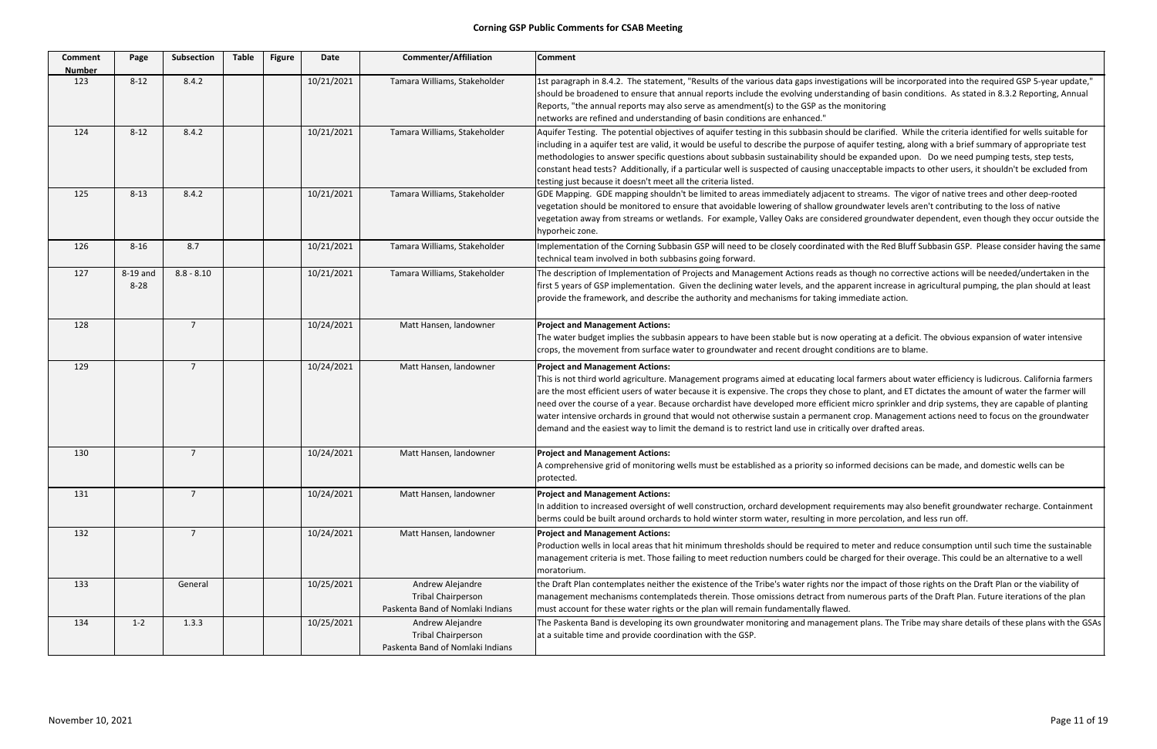| <b>Comment</b><br><b>Number</b> | Page                 | <b>Subsection</b> | <b>Table</b> | <b>Figure</b> | Date       | <b>Commenter/Affiliation</b>                                                      | <b>Comment</b>                                                                                                                                                                                                                                                                                                                                                                                                                                                                   |
|---------------------------------|----------------------|-------------------|--------------|---------------|------------|-----------------------------------------------------------------------------------|----------------------------------------------------------------------------------------------------------------------------------------------------------------------------------------------------------------------------------------------------------------------------------------------------------------------------------------------------------------------------------------------------------------------------------------------------------------------------------|
| 123                             | $8 - 12$             | 8.4.2             |              |               | 10/21/2021 | Tamara Williams, Stakeholder                                                      | 1st paragraph in 8.4.2. The statement, "Results of the various data gaps investiga<br>should be broadened to ensure that annual reports include the evolving understa<br>Reports, "the annual reports may also serve as amendment(s) to the GSP as the m<br>networks are refined and understanding of basin conditions are enhanced."                                                                                                                                            |
| 124                             | $8 - 12$             | 8.4.2             |              |               | 10/21/2021 | Tamara Williams, Stakeholder                                                      | Aquifer Testing. The potential objectives of aquifer testing in this subbasin should<br>including in a aquifer test are valid, it would be useful to describe the purpose of a<br>methodologies to answer specific questions about subbasin sustainability should l<br>constant head tests? Additionally, if a particular well is suspected of causing unac<br>testing just because it doesn't meet all the criteria listed.                                                     |
| 125                             | $8 - 13$             | 8.4.2             |              |               | 10/21/2021 | Tamara Williams, Stakeholder                                                      | GDE Mapping. GDE mapping shouldn't be limited to areas immediately adjacent t<br>vegetation should be monitored to ensure that avoidable lowering of shallow grou<br>vegetation away from streams or wetlands. For example, Valley Oaks are conside<br>hyporheic zone.                                                                                                                                                                                                           |
| 126                             | $8 - 16$             | 8.7               |              |               | 10/21/2021 | Tamara Williams, Stakeholder                                                      | Implementation of the Corning Subbasin GSP will need to be closely coordinated v<br>technical team involved in both subbasins going forward.                                                                                                                                                                                                                                                                                                                                     |
| 127                             | 8-19 and<br>$8 - 28$ | $8.8 - 8.10$      |              |               | 10/21/2021 | Tamara Williams, Stakeholder                                                      | The description of Implementation of Projects and Management Actions reads as<br>first 5 years of GSP implementation. Given the declining water levels, and the app<br>provide the framework, and describe the authority and mechanisms for taking im                                                                                                                                                                                                                            |
| 128                             |                      | $\overline{7}$    |              |               | 10/24/2021 | Matt Hansen, landowner                                                            | <b>Project and Management Actions:</b><br>The water budget implies the subbasin appears to have been stable but is now op<br>crops, the movement from surface water to groundwater and recent drought con                                                                                                                                                                                                                                                                        |
| 129                             |                      | $\overline{7}$    |              |               | 10/24/2021 | Matt Hansen, landowner                                                            | <b>Project and Management Actions:</b><br>This is not third world agriculture. Management programs aimed at educating loca<br>are the most efficient users of water because it is expensive. The crops they chose<br>need over the course of a year. Because orchardist have developed more efficient<br>water intensive orchards in ground that would not otherwise sustain a permanent<br>demand and the easiest way to limit the demand is to restrict land use in critically |
| 130                             |                      | $\overline{7}$    |              |               | 10/24/2021 | Matt Hansen, landowner                                                            | <b>Project and Management Actions:</b><br>A comprehensive grid of monitoring wells must be established as a priority so info<br>protected.                                                                                                                                                                                                                                                                                                                                       |
| 131                             |                      | $\overline{7}$    |              |               | 10/24/2021 | Matt Hansen, landowner                                                            | <b>Project and Management Actions:</b><br>In addition to increased oversight of well construction, orchard development requ<br>berms could be built around orchards to hold winter storm water, resulting in mo                                                                                                                                                                                                                                                                  |
| 132                             |                      | $\overline{7}$    |              |               | 10/24/2021 | Matt Hansen, landowner                                                            | <b>Project and Management Actions:</b><br>Production wells in local areas that hit minimum thresholds should be required to<br>management criteria is met. Those failing to meet reduction numbers could be ch<br>moratorium.                                                                                                                                                                                                                                                    |
| 133                             |                      | General           |              |               | 10/25/2021 | Andrew Alejandre<br><b>Tribal Chairperson</b><br>Paskenta Band of Nomlaki Indians | the Draft Plan contemplates neither the existence of the Tribe's water rights nor t<br>management mechanisms contemplateds therein. Those omissions detract from r<br>must account for these water rights or the plan will remain fundamentally flawed.                                                                                                                                                                                                                          |
| 134                             | $1 - 2$              | 1.3.3             |              |               | 10/25/2021 | Andrew Alejandre<br><b>Tribal Chairperson</b><br>Paskenta Band of Nomlaki Indians | The Paskenta Band is developing its own groundwater monitoring and manageme<br>at a suitable time and provide coordination with the GSP.                                                                                                                                                                                                                                                                                                                                         |

ations will be incorporated into the required GSP 5‐year update," anding of basin conditions. As stated in 8.3.2 Reporting, Annual nonitoring

d be clarified. While the criteria identified for wells suitable for aquifer testing, along with a brief summary of appropriate test be expanded upon. Do we need pumping tests, step tests, testable impacts to other users, it shouldn't be excluded from

to streams. The vigor of native trees and other deep-rooted undwater levels aren't contributing to the loss of native ered groundwater dependent, even though they occur outside the

with the Red Bluff Subbasin GSP. Please consider having the same

though no corrective actions will be needed/undertaken in the parent increase in agricultural pumping, the plan should at least mediate action.

perating at a deficit. The obvious expansion of water intensive nditions are to blame.

al farmers about water efficiency is ludicrous. California farmers e to plant, and ET dictates the amount of water the farmer will t micro sprinkler and drip systems, they are capable of planting it crop. Management actions need to focus on the groundwater over drafted areas.

ormed decisions can be made, and domestic wells can be

uirements may also benefit groundwater recharge. Containment re percolation, and less run off.

o meter and reduce consumption until such time the sustainable narged for their overage. This could be an alternative to a well

the impact of those rights on the Draft Plan or the viability of numerous parts of the Draft Plan. Future iterations of the plan

ent plans. The Tribe may share details of these plans with the GSAs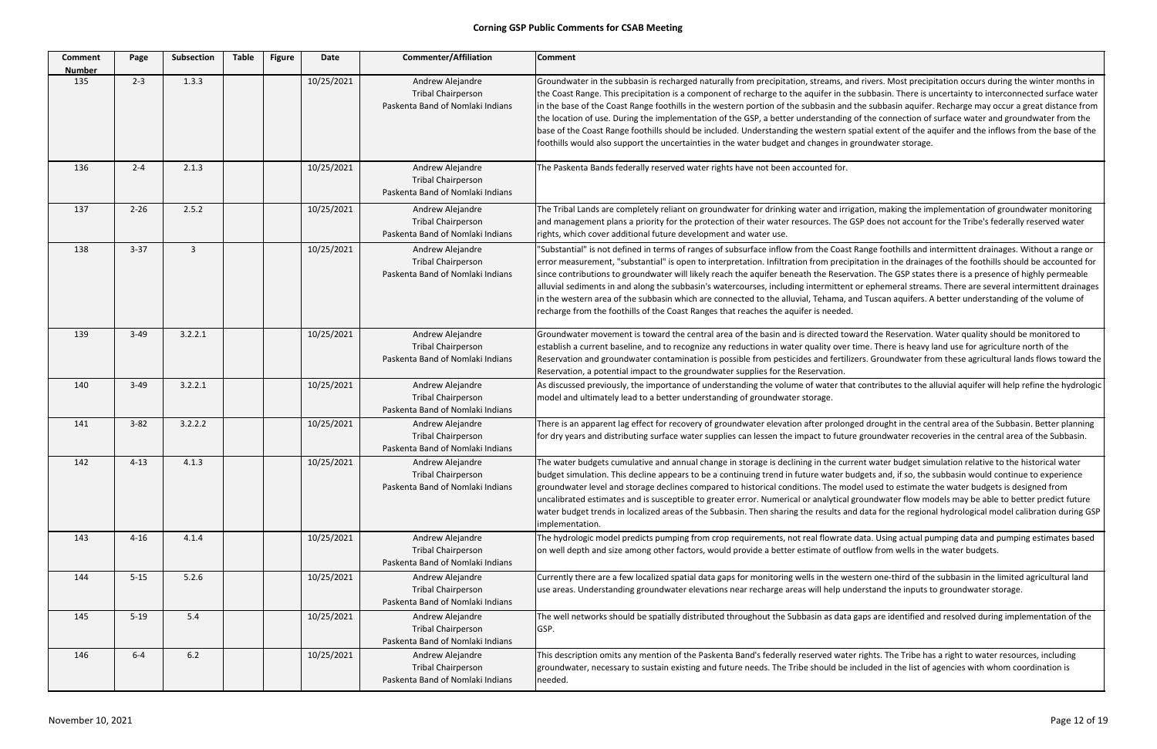| <b>Comment</b><br><b>Number</b> | Page     | Subsection     | <b>Table</b> | <b>Figure</b> | Date       | <b>Commenter/Affiliation</b>                                                      | <b>Comment</b>                                                                                                                                                                                                                                                                                                                                                                                                                                                                                                                         |
|---------------------------------|----------|----------------|--------------|---------------|------------|-----------------------------------------------------------------------------------|----------------------------------------------------------------------------------------------------------------------------------------------------------------------------------------------------------------------------------------------------------------------------------------------------------------------------------------------------------------------------------------------------------------------------------------------------------------------------------------------------------------------------------------|
| 135                             | $2 - 3$  | 1.3.3          |              |               | 10/25/2021 | Andrew Alejandre<br><b>Tribal Chairperson</b><br>Paskenta Band of Nomlaki Indians | Groundwater in the subbasin is recharged naturally from precipitation, streams, ar<br>the Coast Range. This precipitation is a component of recharge to the aquifer in th<br>in the base of the Coast Range foothills in the western portion of the subbasin and<br>the location of use. During the implementation of the GSP, a better understanding<br>base of the Coast Range foothills should be included. Understanding the western s<br>foothills would also support the uncertainties in the water budget and changes in g      |
| 136                             | $2 - 4$  | 2.1.3          |              |               | 10/25/2021 | Andrew Alejandre<br><b>Tribal Chairperson</b><br>Paskenta Band of Nomlaki Indians | The Paskenta Bands federally reserved water rights have not been accounted for.                                                                                                                                                                                                                                                                                                                                                                                                                                                        |
| 137                             | $2 - 26$ | 2.5.2          |              |               | 10/25/2021 | Andrew Alejandre<br><b>Tribal Chairperson</b><br>Paskenta Band of Nomlaki Indians | The Tribal Lands are completely reliant on groundwater for drinking water and irrig<br>and management plans a priority for the protection of their water resources. The O<br>rights, which cover additional future development and water use.                                                                                                                                                                                                                                                                                          |
| 138                             | $3 - 37$ | $\overline{3}$ |              |               | 10/25/2021 | Andrew Alejandre<br><b>Tribal Chairperson</b><br>Paskenta Band of Nomlaki Indians | "Substantial" is not defined in terms of ranges of subsurface inflow from the Coast<br>error measurement, "substantial" is open to interpretation. Infiltration from precip<br>since contributions to groundwater will likely reach the aquifer beneath the Reserv<br>alluvial sediments in and along the subbasin's watercourses, including intermittent<br>in the western area of the subbasin which are connected to the alluvial, Tehama, a<br>recharge from the foothills of the Coast Ranges that reaches the aquifer is needed. |
| 139                             | $3-49$   | 3.2.2.1        |              |               | 10/25/2021 | Andrew Alejandre<br><b>Tribal Chairperson</b><br>Paskenta Band of Nomlaki Indians | Groundwater movement is toward the central area of the basin and is directed tov<br>establish a current baseline, and to recognize any reductions in water quality over<br>Reservation and groundwater contamination is possible from pesticides and fertilia<br>Reservation, a potential impact to the groundwater supplies for the Reservation.                                                                                                                                                                                      |
| 140                             | $3 - 49$ | 3.2.2.1        |              |               | 10/25/2021 | Andrew Alejandre<br><b>Tribal Chairperson</b><br>Paskenta Band of Nomlaki Indians | As discussed previously, the importance of understanding the volume of water tha<br>model and ultimately lead to a better understanding of groundwater storage.                                                                                                                                                                                                                                                                                                                                                                        |
| 141                             | $3 - 82$ | 3.2.2.2        |              |               | 10/25/2021 | Andrew Alejandre<br><b>Tribal Chairperson</b><br>Paskenta Band of Nomlaki Indians | There is an apparent lag effect for recovery of groundwater elevation after prolong<br>for dry years and distributing surface water supplies can lessen the impact to futur                                                                                                                                                                                                                                                                                                                                                            |
| 142                             | $4 - 13$ | 4.1.3          |              |               | 10/25/2021 | Andrew Alejandre<br><b>Tribal Chairperson</b><br>Paskenta Band of Nomlaki Indians | The water budgets cumulative and annual change in storage is declining in the curi<br>budget simulation. This decline appears to be a continuing trend in future water be<br>groundwater level and storage declines compared to historical conditions. The mo<br>uncalibrated estimates and is susceptible to greater error. Numerical or analytical<br>water budget trends in localized areas of the Subbasin. Then sharing the results an<br>implementation.                                                                         |
| 143                             | $4 - 16$ | 4.1.4          |              |               | 10/25/2021 | Andrew Alejandre<br><b>Tribal Chairperson</b><br>Paskenta Band of Nomlaki Indians | The hydrologic model predicts pumping from crop requirements, not real flowrate<br>on well depth and size among other factors, would provide a better estimate of ou                                                                                                                                                                                                                                                                                                                                                                   |
| 144                             | $5 - 15$ | 5.2.6          |              |               | 10/25/2021 | Andrew Alejandre<br><b>Tribal Chairperson</b><br>Paskenta Band of Nomlaki Indians | Currently there are a few localized spatial data gaps for monitoring wells in the we<br>use areas. Understanding groundwater elevations near recharge areas will help un                                                                                                                                                                                                                                                                                                                                                               |
| 145                             | $5-19$   | 5.4            |              |               | 10/25/2021 | Andrew Alejandre<br><b>Tribal Chairperson</b><br>Paskenta Band of Nomlaki Indians | The well networks should be spatially distributed throughout the Subbasin as data<br>GSP.                                                                                                                                                                                                                                                                                                                                                                                                                                              |
| 146                             | $6-4$    | $6.2$          |              |               | 10/25/2021 | Andrew Alejandre<br><b>Tribal Chairperson</b><br>Paskenta Band of Nomlaki Indians | This description omits any mention of the Paskenta Band's federally reserved wate<br>groundwater, necessary to sustain existing and future needs. The Tribe should be i<br>needed.                                                                                                                                                                                                                                                                                                                                                     |

and rivers. Most precipitation occurs during the winter months in he subbasin. There is uncertainty to interconnected surface water d the subbasin aquifer. Recharge may occur a great distance from g of the connection of surface water and groundwater from the spatial extent of the aquifer and the inflows from the base of the groundwater storage.

igation, making the implementation of groundwater monitoring GSP does not account for the Tribe's federally reserved water

it Range foothills and intermittent drainages. Without a range or ipitation in the drainages of the foothills should be accounted for rvation. The GSP states there is a presence of highly permeable at or ephemeral streams. There are several intermittent drainages and Tuscan aquifers. A better understanding of the volume of

ward the Reservation. Water quality should be monitored to r time. There is heavy land use for agriculture north of the lizers. Groundwater from these agricultural lands flows toward the

at contributes to the alluvial aquifer will help refine the hydrologic

aged drought in the central area of the Subbasin. Better planning are groundwater recoveries in the central area of the Subbasin.

rrent water budget simulation relative to the historical water budgets and, if so, the subbasin would continue to experience odel used to estimate the water budgets is designed from I groundwater flow models may be able to better predict future nd data for the regional hydrological model calibration during GSP

e data. Using actual pumping data and pumping estimates based utflow from wells in the water budgets.

estern one-third of the subbasin in the limited agricultural land nderstand the inputs to groundwater storage.

a gaps are identified and resolved during implementation of the

er rights. The Tribe has a right to water resources, including included in the list of agencies with whom coordination is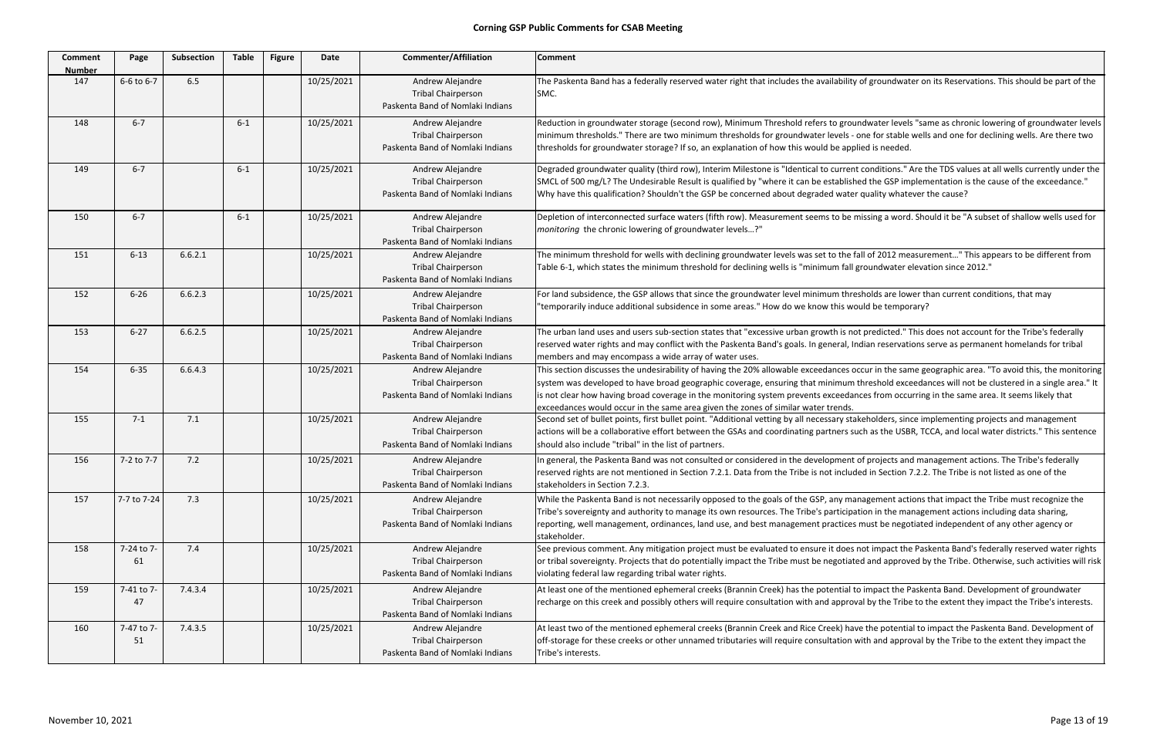| <b>Comment</b><br><b>Number</b> | Page             | Subsection | <b>Table</b> | <b>Figure</b> | Date       | <b>Commenter/Affiliation</b>                                                      | <b>Comment</b>                                                                                                                                                                                                                                                                                                                              |
|---------------------------------|------------------|------------|--------------|---------------|------------|-----------------------------------------------------------------------------------|---------------------------------------------------------------------------------------------------------------------------------------------------------------------------------------------------------------------------------------------------------------------------------------------------------------------------------------------|
| 147                             | 6-6 to 6-7       | 6.5        |              |               | 10/25/2021 | Andrew Alejandre<br><b>Tribal Chairperson</b><br>Paskenta Band of Nomlaki Indians | The Paskenta Band has a federally reserved water right that includes the availabilit<br>SMC.                                                                                                                                                                                                                                                |
| 148                             | $6 - 7$          |            | $6 - 1$      |               | 10/25/2021 | Andrew Alejandre<br><b>Tribal Chairperson</b><br>Paskenta Band of Nomlaki Indians | Reduction in groundwater storage (second row), Minimum Threshold refers to gro<br>minimum thresholds." There are two minimum thresholds for groundwater levels -<br>thresholds for groundwater storage? If so, an explanation of how this would be ap                                                                                       |
| 149                             | $6 - 7$          |            | $6 - 1$      |               | 10/25/2021 | Andrew Alejandre<br><b>Tribal Chairperson</b><br>Paskenta Band of Nomlaki Indians | Degraded groundwater quality (third row), Interim Milestone is "Identical to currer<br>SMCL of 500 mg/L? The Undesirable Result is qualified by "where it can be establis<br>Why have this qualification? Shouldn't the GSP be concerned about degraded wate                                                                                |
| 150                             | $6 - 7$          |            | $6 - 1$      |               | 10/25/2021 | Andrew Alejandre<br><b>Tribal Chairperson</b><br>Paskenta Band of Nomlaki Indians | Depletion of interconnected surface waters (fifth row). Measurement seems to be<br>monitoring the chronic lowering of groundwater levels?"                                                                                                                                                                                                  |
| 151                             | $6 - 13$         | 6.6.2.1    |              |               | 10/25/2021 | Andrew Alejandre<br><b>Tribal Chairperson</b><br>Paskenta Band of Nomlaki Indians | The minimum threshold for wells with declining groundwater levels was set to the<br>Table 6-1, which states the minimum threshold for declining wells is "minimum fall                                                                                                                                                                      |
| 152                             | $6 - 26$         | 6.6.2.3    |              |               | 10/25/2021 | Andrew Alejandre<br><b>Tribal Chairperson</b><br>Paskenta Band of Nomlaki Indians | For land subsidence, the GSP allows that since the groundwater level minimum thr<br>"temporarily induce additional subsidence in some areas." How do we know this w                                                                                                                                                                         |
| 153                             | $6 - 27$         | 6.6.2.5    |              |               | 10/25/2021 | Andrew Alejandre<br><b>Tribal Chairperson</b><br>Paskenta Band of Nomlaki Indians | The urban land uses and users sub-section states that "excessive urban growth is n<br>reserved water rights and may conflict with the Paskenta Band's goals. In general, I<br>members and may encompass a wide array of water uses.                                                                                                         |
| 154                             | $6 - 35$         | 6.6.4.3    |              |               | 10/25/2021 | Andrew Alejandre<br><b>Tribal Chairperson</b><br>Paskenta Band of Nomlaki Indians | This section discusses the undesirability of having the 20% allowable exceedances<br>system was developed to have broad geographic coverage, ensuring that minimum<br>is not clear how having broad coverage in the monitoring system prevents exceeda<br>exceedances would occur in the same area given the zones of similar water trends. |
| 155                             | $7 - 1$          | 7.1        |              |               | 10/25/2021 | Andrew Alejandre<br><b>Tribal Chairperson</b><br>Paskenta Band of Nomlaki Indians | Second set of bullet points, first bullet point. "Additional vetting by all necessary st<br>actions will be a collaborative effort between the GSAs and coordinating partners s<br>should also include "tribal" in the list of partners.                                                                                                    |
| 156                             | 7-2 to 7-7       | 7.2        |              |               | 10/25/2021 | Andrew Alejandre<br><b>Tribal Chairperson</b><br>Paskenta Band of Nomlaki Indians | In general, the Paskenta Band was not consulted or considered in the development<br>reserved rights are not mentioned in Section 7.2.1. Data from the Tribe is not inclu<br>stakeholders in Section 7.2.3.                                                                                                                                  |
| 157                             | 7-7 to 7-24      | 7.3        |              |               | 10/25/2021 | Andrew Alejandre<br><b>Tribal Chairperson</b><br>Paskenta Band of Nomlaki Indians | While the Paskenta Band is not necessarily opposed to the goals of the GSP, any m<br>Tribe's sovereignty and authority to manage its own resources. The Tribe's particip<br>reporting, well management, ordinances, land use, and best management practice<br>stakeholder.                                                                  |
| 158                             | 7-24 to 7-<br>61 | 7.4        |              |               | 10/25/2021 | Andrew Alejandre<br><b>Tribal Chairperson</b><br>Paskenta Band of Nomlaki Indians | See previous comment. Any mitigation project must be evaluated to ensure it does<br>or tribal sovereignty. Projects that do potentially impact the Tribe must be negotia<br>violating federal law regarding tribal water rights.                                                                                                            |
| 159                             | 7-41 to 7-<br>47 | 7.4.3.4    |              |               | 10/25/2021 | Andrew Alejandre<br><b>Tribal Chairperson</b><br>Paskenta Band of Nomlaki Indians | At least one of the mentioned ephemeral creeks (Brannin Creek) has the potential<br>recharge on this creek and possibly others will require consultation with and appro                                                                                                                                                                     |
| 160                             | 7-47 to 7-<br>51 | 7.4.3.5    |              |               | 10/25/2021 | Andrew Alejandre<br><b>Tribal Chairperson</b><br>Paskenta Band of Nomlaki Indians | At least two of the mentioned ephemeral creeks (Brannin Creek and Rice Creek) ha<br>off-storage for these creeks or other unnamed tributaries will require consultation<br>Tribe's interests.                                                                                                                                               |

ity of groundwater on its Reservations. This should be part of the

oundwater levels "same as chronic lowering of groundwater levels for one for stable wells and one for declining wells. Are there two pplied is needed.

ent conditions." Are the TDS values at all wells currently under the ished the GSP implementation is the cause of the exceedance." ter quality whatever the cause?

e missing a word. Should it be "A subset of shallow wells used for

e fall of 2012 measurement..." This appears to be different from Ill groundwater elevation since 2012."

incesholds are lower than current conditions, that may would be temporary?

not predicted." This does not account for the Tribe's federally , Indian reservations serve as permanent homelands for tribal

s occur in the same geographic area. "To avoid this, the monitoring m threshold exceedances will not be clustered in a single area." It dances from occurring in the same area. It seems likely that

stakeholders, since implementing projects and management such as the USBR, TCCA, and local water districts." This sentence

nt of projects and management actions. The Tribe's federally uded in Section 7.2.2. The Tribe is not listed as one of the

management actions that impact the Tribe must recognize the pation in the management actions including data sharing, res must be negotiated independent of any other agency or

es not impact the Paskenta Band's federally reserved water rights ated and approved by the Tribe. Otherwise, such activities will risk

I to impact the Paskenta Band. Development of groundwater roval by the Tribe to the extent they impact the Tribe's interests.

have the potential to impact the Paskenta Band. Development of n with and approval by the Tribe to the extent they impact the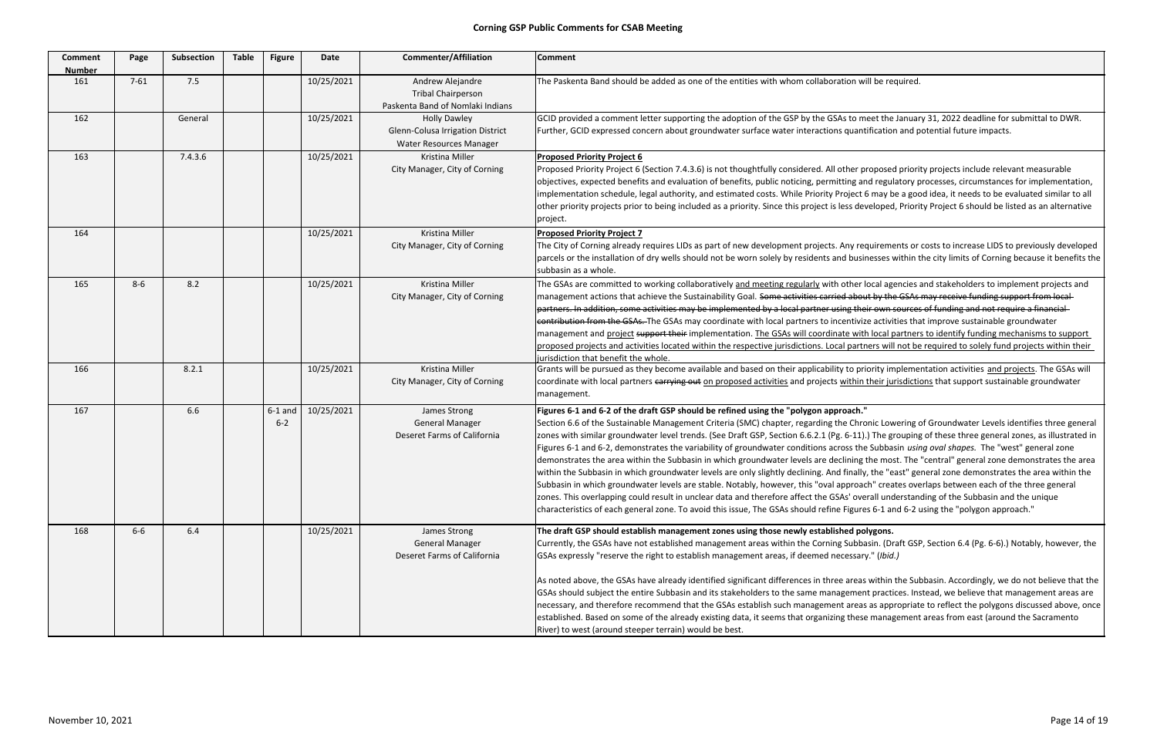| <b>Comment</b><br><b>Number</b> | Page     | <b>Subsection</b> | <b>Table</b> | <b>Figure</b>        | <b>Date</b> | <b>Commenter/Affiliation</b>                                                       | <b>Comment</b>                                                                                                                                                                                                                                                                                                                                                                                                                                                                                                                                                                                                                                                                                                                                                                                                                        |
|---------------------------------|----------|-------------------|--------------|----------------------|-------------|------------------------------------------------------------------------------------|---------------------------------------------------------------------------------------------------------------------------------------------------------------------------------------------------------------------------------------------------------------------------------------------------------------------------------------------------------------------------------------------------------------------------------------------------------------------------------------------------------------------------------------------------------------------------------------------------------------------------------------------------------------------------------------------------------------------------------------------------------------------------------------------------------------------------------------|
| 161                             | $7 - 61$ | 7.5               |              |                      | 10/25/2021  | Andrew Alejandre<br><b>Tribal Chairperson</b><br>Paskenta Band of Nomlaki Indians  | The Paskenta Band should be added as one of the entities with whom collaboration w                                                                                                                                                                                                                                                                                                                                                                                                                                                                                                                                                                                                                                                                                                                                                    |
| 162                             |          | General           |              |                      | 10/25/2021  | <b>Holly Dawley</b><br>Glenn-Colusa Irrigation District<br>Water Resources Manager | GCID provided a comment letter supporting the adoption of the GSP by the GSAs to m<br>Further, GCID expressed concern about groundwater surface water interactions quant                                                                                                                                                                                                                                                                                                                                                                                                                                                                                                                                                                                                                                                              |
| 163                             |          | 7.4.3.6           |              |                      | 10/25/2021  | Kristina Miller<br>City Manager, City of Corning                                   | <b>Proposed Priority Project 6</b><br>Proposed Priority Project 6 (Section 7.4.3.6) is not thoughtfully considered. All other p<br>objectives, expected benefits and evaluation of benefits, public noticing, permitting ar<br>implementation schedule, legal authority, and estimated costs. While Priority Project (<br>other priority projects prior to being included as a priority. Since this project is less dev<br>project.                                                                                                                                                                                                                                                                                                                                                                                                   |
| 164                             |          |                   |              |                      | 10/25/2021  | Kristina Miller<br>City Manager, City of Corning                                   | <b>Proposed Priority Project 7</b><br>The City of Corning already requires LIDs as part of new development projects. Any red<br>parcels or the installation of dry wells should not be worn solely by residents and busin<br>subbasin as a whole.                                                                                                                                                                                                                                                                                                                                                                                                                                                                                                                                                                                     |
| 165                             | $8 - 6$  | 8.2               |              |                      | 10/25/2021  | Kristina Miller<br>City Manager, City of Corning                                   | The GSAs are committed to working collaboratively and meeting regularly with other I<br>management actions that achieve the Sustainability Goal. Some activities carried about<br>partners. In addition, some activities may be implemented by a local partner using the<br>contribution from the GSAs. The GSAs may coordinate with local partners to incentiviz<br>management and project support their implementation. The GSAs will coordinate with<br>proposed projects and activities located within the respective jurisdictions. Local partr<br>jurisdiction that benefit the whole.                                                                                                                                                                                                                                          |
| 166                             |          | 8.2.1             |              |                      | 10/25/2021  | Kristina Miller<br>City Manager, City of Corning                                   | Grants will be pursued as they become available and based on their applicability to pri<br>coordinate with local partners carrying out on proposed activities and projects within<br>management.                                                                                                                                                                                                                                                                                                                                                                                                                                                                                                                                                                                                                                      |
| 167                             |          | 6.6               |              | $6-1$ and<br>$6 - 2$ | 10/25/2021  | James Strong<br><b>General Manager</b><br>Deseret Farms of California              | Figures 6-1 and 6-2 of the draft GSP should be refined using the "polygon approach."<br>Section 6.6 of the Sustainable Management Criteria (SMC) chapter, regarding the Chro<br>zones with similar groundwater level trends. (See Draft GSP, Section 6.6.2.1 (Pg. 6-11).<br>Figures 6-1 and 6-2, demonstrates the variability of groundwater conditions across the<br>demonstrates the area within the Subbasin in which groundwater levels are declining<br>within the Subbasin in which groundwater levels are only slightly declining. And finally<br>Subbasin in which groundwater levels are stable. Notably, however, this "oval approad<br>zones. This overlapping could result in unclear data and therefore affect the GSAs' ove<br>characteristics of each general zone. To avoid this issue, The GSAs should refine Figure |
| 168                             | $6-6$    | 6.4               |              |                      | 10/25/2021  | James Strong<br><b>General Manager</b><br>Deseret Farms of California              | The draft GSP should establish management zones using those newly established po<br>Currently, the GSAs have not established management areas within the Corning Subba<br>GSAs expressly "reserve the right to establish management areas, if deemed necessary<br>As noted above, the GSAs have already identified significant differences in three areas<br>GSAs should subject the entire Subbasin and its stakeholders to the same managemen<br>necessary, and therefore recommend that the GSAs establish such management areas<br>established. Based on some of the already existing data, it seems that organizing these<br>River) to west (around steeper terrain) would be best.                                                                                                                                              |

on will be required.

to meet the January 31, 2022 deadline for submittal to DWR. uantification and potential future impacts.

ner proposed priority projects include relevant measurable og and regulatory processes, circumstances for implementation, ject 6 may be a good idea, it needs to be evaluated similar to all s developed, Priority Project 6 should be listed as an alternative

ny requirements or costs to increase LIDS to previously developed businesses within the city limits of Corning because it benefits the

her local agencies and stakeholders to implement projects and about by the GSAs may receive funding support from localtheir own sources of funding and not require a financial partner using the sources of their own sources of fund ntivize activities that improve sustainable groundwater with local partners to identify funding mechanisms to support partners will not be required to solely fund projects within their

to priority implementation activities and projects. The GSAs will thin their jurisdictions that support sustainable groundwater

Chronic Lowering of Groundwater Levels identifies three general 5-11).) The grouping of these three general zones, as illustrated in ss the Subbasin *using oval shapes*. The "west" general zone ning the most. The "central" general zone demonstrates the area nally, the "east" general zone demonstrates the area within the proach" creates overlaps between each of the three general overall understanding of the Subbasin and the unique igures 6-1 and 6-2 using the "polygon approach."

# **establish management zones using those newly established polygons.**

ubbasin. (Draft GSP, Section 6.4 (Pg. 6‐6).) Notably, however, the essary " (*Ibid.)* 

areas within the Subbasin. Accordingly, we do not believe that the ement practices. Instead, we believe that management areas are areas as appropriate to reflect the polygons discussed above, once these management areas from east (around the Sacramento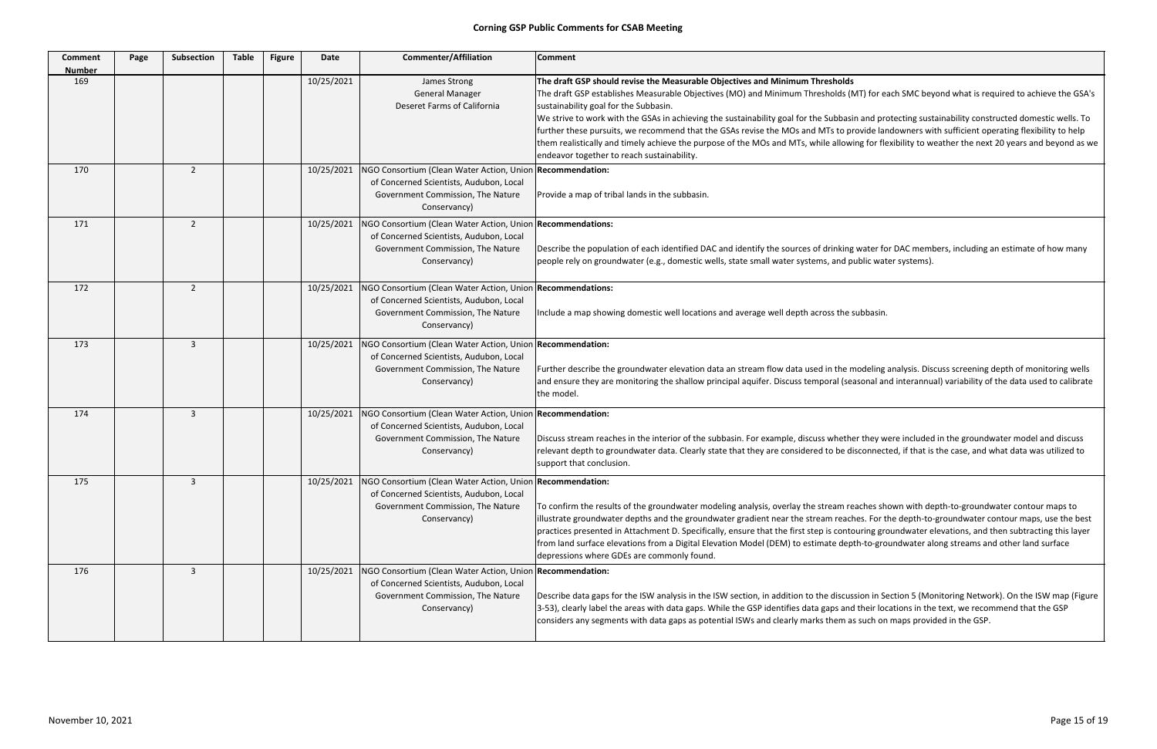| <b>Comment</b><br><b>Number</b> | Page | Subsection     | <b>Table</b> | <b>Figure</b> | <b>Date</b> | <b>Commenter/Affiliation</b>                                                                                                                                             | <b>Comment</b>                                                                                                                                                                                                                                                                                                                                                                                                                                                                                                        |
|---------------------------------|------|----------------|--------------|---------------|-------------|--------------------------------------------------------------------------------------------------------------------------------------------------------------------------|-----------------------------------------------------------------------------------------------------------------------------------------------------------------------------------------------------------------------------------------------------------------------------------------------------------------------------------------------------------------------------------------------------------------------------------------------------------------------------------------------------------------------|
| 169                             |      |                |              |               | 10/25/2021  | James Strong<br><b>General Manager</b><br>Deseret Farms of California                                                                                                    | The draft GSP should revise the Measurable Objectives and Minimum Thresholds<br>The draft GSP establishes Measurable Objectives (MO) and Minimum Thresholds (I<br>sustainability goal for the Subbasin.<br>We strive to work with the GSAs in achieving the sustainability goal for the Subbasi<br>further these pursuits, we recommend that the GSAs revise the MOs and MTs to pi<br>them realistically and timely achieve the purpose of the MOs and MTs, while allow<br>endeavor together to reach sustainability. |
| 170                             |      | $\overline{2}$ |              |               | 10/25/2021  | NGO Consortium (Clean Water Action, Union Recommendation:<br>of Concerned Scientists, Audubon, Local<br>Government Commission, The Nature<br>Conservancy)                | Provide a map of tribal lands in the subbasin.                                                                                                                                                                                                                                                                                                                                                                                                                                                                        |
| 171                             |      | $\overline{2}$ |              |               | 10/25/2021  | NGO Consortium (Clean Water Action, Union Recommendations:<br>of Concerned Scientists, Audubon, Local<br>Government Commission, The Nature<br>Conservancy)               | Describe the population of each identified DAC and identify the sources of drinking<br>people rely on groundwater (e.g., domestic wells, state small water systems, and p                                                                                                                                                                                                                                                                                                                                             |
| 172                             |      | $\overline{2}$ |              |               | 10/25/2021  | NGO Consortium (Clean Water Action, Union Recommendations:<br>of Concerned Scientists, Audubon, Local<br>Government Commission, The Nature<br>Conservancy)               | Include a map showing domestic well locations and average well depth across the :                                                                                                                                                                                                                                                                                                                                                                                                                                     |
| 173                             |      | 3              |              |               | 10/25/2021  | NGO Consortium (Clean Water Action, Union Recommendation:<br>of Concerned Scientists, Audubon, Local<br>Government Commission, The Nature<br>Conservancy)                | Further describe the groundwater elevation data an stream flow data used in the n<br>and ensure they are monitoring the shallow principal aquifer. Discuss temporal (se<br>the model.                                                                                                                                                                                                                                                                                                                                 |
| 174                             |      | 3              |              |               | 10/25/2021  | NGO Consortium (Clean Water Action, Union Recommendation:<br>of Concerned Scientists, Audubon, Local<br>Government Commission, The Nature<br>Conservancy)                | Discuss stream reaches in the interior of the subbasin. For example, discuss whethe<br>relevant depth to groundwater data. Clearly state that they are considered to be d<br>support that conclusion.                                                                                                                                                                                                                                                                                                                 |
| 175                             |      | 3              |              |               |             | 10/25/2021   NGO Consortium (Clean Water Action, Union   Recommendation:<br>of Concerned Scientists, Audubon, Local<br>Government Commission, The Nature<br>Conservancy) | To confirm the results of the groundwater modeling analysis, overlay the stream re<br>illustrate groundwater depths and the groundwater gradient near the stream reacl<br>practices presented in Attachment D. Specifically, ensure that the first step is conto<br>from land surface elevations from a Digital Elevation Model (DEM) to estimate dep<br>depressions where GDEs are commonly found.                                                                                                                   |
| 176                             |      | 3              |              |               | 10/25/2021  | NGO Consortium (Clean Water Action, Union Recommendation:<br>of Concerned Scientists, Audubon, Local<br>Government Commission, The Nature<br>Conservancy)                | Describe data gaps for the ISW analysis in the ISW section, in addition to the discus<br>3-53), clearly label the areas with data gaps. While the GSP identifies data gaps and<br>considers any segments with data gaps as potential ISWs and clearly marks them a                                                                                                                                                                                                                                                    |

(MT) for each SMC beyond what is required to achieve the GSA's

isin and protecting sustainability constructed domestic wells. To provide landowners with sufficient operating flexibility to help wing for flexibility to weather the next 20 years and beyond as we

ng water for DAC members, including an estimate of how many public water systems).

subbasin.

modeling analysis. Discuss screening depth of monitoring wells easonal and interannual) variability of the data used to calibrate

her they were included in the groundwater model and discuss disconnected, if that is the case, and what data was utilized to

reaches shown with depth-to-groundwater contour maps to ches. For the depth-to-groundwater contour maps, use the best touring groundwater elevations, and then subtracting this layer epth-to-groundwater along streams and other land surface

ussion in Section 5 (Monitoring Network). On the ISW map (Figure nd their locations in the text, we recommend that the GSP as such on maps provided in the GSP.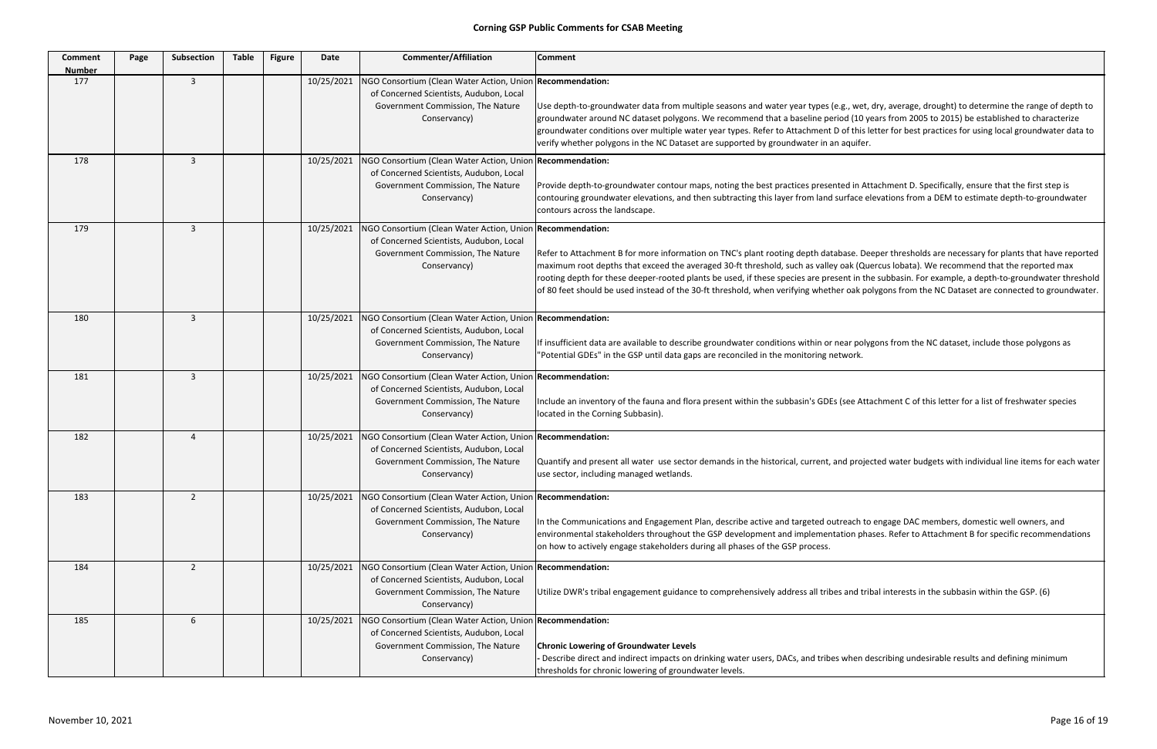| <b>Comment</b><br><b>Number</b> | Page | <b>Subsection</b> | <b>Table</b> | <b>Figure</b> | <b>Date</b> | <b>Commenter/Affiliation</b>                                                                                                                              | <b>Comment</b>                                                                                                                                                                                                                                                                                                                                                      |
|---------------------------------|------|-------------------|--------------|---------------|-------------|-----------------------------------------------------------------------------------------------------------------------------------------------------------|---------------------------------------------------------------------------------------------------------------------------------------------------------------------------------------------------------------------------------------------------------------------------------------------------------------------------------------------------------------------|
| 177                             |      | 3                 |              |               | 10/25/2021  | NGO Consortium (Clean Water Action, Union Recommendation:<br>of Concerned Scientists, Audubon, Local<br>Government Commission, The Nature<br>Conservancy) | Use depth-to-groundwater data from multiple seasons and water year types (e.g., wet,<br>groundwater around NC dataset polygons. We recommend that a baseline period (10 y<br>groundwater conditions over multiple water year types. Refer to Attachment D of this I<br>verify whether polygons in the NC Dataset are supported by groundwater in an aquifer.        |
| 178                             |      | $\overline{3}$    |              |               | 10/25/2021  | NGO Consortium (Clean Water Action, Union Recommendation:<br>of Concerned Scientists, Audubon, Local<br>Government Commission, The Nature<br>Conservancy) | Provide depth-to-groundwater contour maps, noting the best practices presented in At<br>contouring groundwater elevations, and then subtracting this layer from land surface e<br>contours across the landscape.                                                                                                                                                    |
| 179                             |      | 3                 |              |               | 10/25/2021  | NGO Consortium (Clean Water Action, Union Recommendation:<br>of Concerned Scientists, Audubon, Local<br>Government Commission, The Nature<br>Conservancy) | Refer to Attachment B for more information on TNC's plant rooting depth database. De<br>maximum root depths that exceed the averaged 30-ft threshold, such as valley oak (Qu<br>rooting depth for these deeper-rooted plants be used, if these species are present in th<br>of 80 feet should be used instead of the 30-ft threshold, when verifying whether oak po |
| 180                             |      | 3                 |              |               | 10/25/2021  | NGO Consortium (Clean Water Action, Union Recommendation:<br>of Concerned Scientists, Audubon, Local<br>Government Commission, The Nature<br>Conservancy) | If insufficient data are available to describe groundwater conditions within or near poly<br>"Potential GDEs" in the GSP until data gaps are reconciled in the monitoring network.                                                                                                                                                                                  |
| 181                             |      | 3                 |              |               | 10/25/2021  | NGO Consortium (Clean Water Action, Union Recommendation:<br>of Concerned Scientists, Audubon, Local<br>Government Commission, The Nature<br>Conservancy) | Include an inventory of the fauna and flora present within the subbasin's GDEs (see Att.<br>located in the Corning Subbasin).                                                                                                                                                                                                                                       |
| 182                             |      | $\overline{4}$    |              |               | 10/25/2021  | NGO Consortium (Clean Water Action, Union Recommendation:<br>of Concerned Scientists, Audubon, Local<br>Government Commission, The Nature<br>Conservancy) | Quantify and present all water use sector demands in the historical, current, and proje<br>use sector, including managed wetlands.                                                                                                                                                                                                                                  |
| 183                             |      | $\overline{2}$    |              |               | 10/25/2021  | NGO Consortium (Clean Water Action, Union Recommendation:<br>of Concerned Scientists, Audubon, Local<br>Government Commission, The Nature<br>Conservancy) | In the Communications and Engagement Plan, describe active and targeted outreach to<br>environmental stakeholders throughout the GSP development and implementation pha<br>on how to actively engage stakeholders during all phases of the GSP process.                                                                                                             |
| 184                             |      | $\overline{2}$    |              |               | 10/25/2021  | NGO Consortium (Clean Water Action, Union Recommendation:<br>of Concerned Scientists, Audubon, Local<br>Government Commission, The Nature<br>Conservancy) | Utilize DWR's tribal engagement guidance to comprehensively address all tribes and tri                                                                                                                                                                                                                                                                              |
| 185                             |      | 6                 |              |               | 10/25/2021  | NGO Consortium (Clean Water Action, Union Recommendation:<br>of Concerned Scientists, Audubon, Local<br>Government Commission, The Nature<br>Conservancy) | <b>Chronic Lowering of Groundwater Levels</b><br>Describe direct and indirect impacts on drinking water users, DACs, and tribes when d<br>thresholds for chronic lowering of groundwater levels.                                                                                                                                                                    |

wet, dry, average, drought) to determine the range of depth to l (10 years from 2005 to 2015) be established to characterize f this letter for best practices for using local groundwater data to

d in Attachment D. Specifically, ensure that the first step is face elevations from a DEM to estimate depth-to-groundwater

se. Deeper thresholds are necessary for plants that have reported ak (Quercus lobata). We recommend that the reported max from the subbasin. For example, a depth-to-groundwater threshold bak polygons from the NC Dataset are connected to groundwater.

r polygons from the NC dataset, include those polygons as

ee Attachment C of this letter for a list of freshwater species

I projected water budgets with individual line items for each water

ach to engage DAC members, domestic well owners, and on phases. Refer to Attachment B for specific recommendations

Ind tribal interests in the subbasin within the GSP. (6)

hen describing undesirable results and defining minimum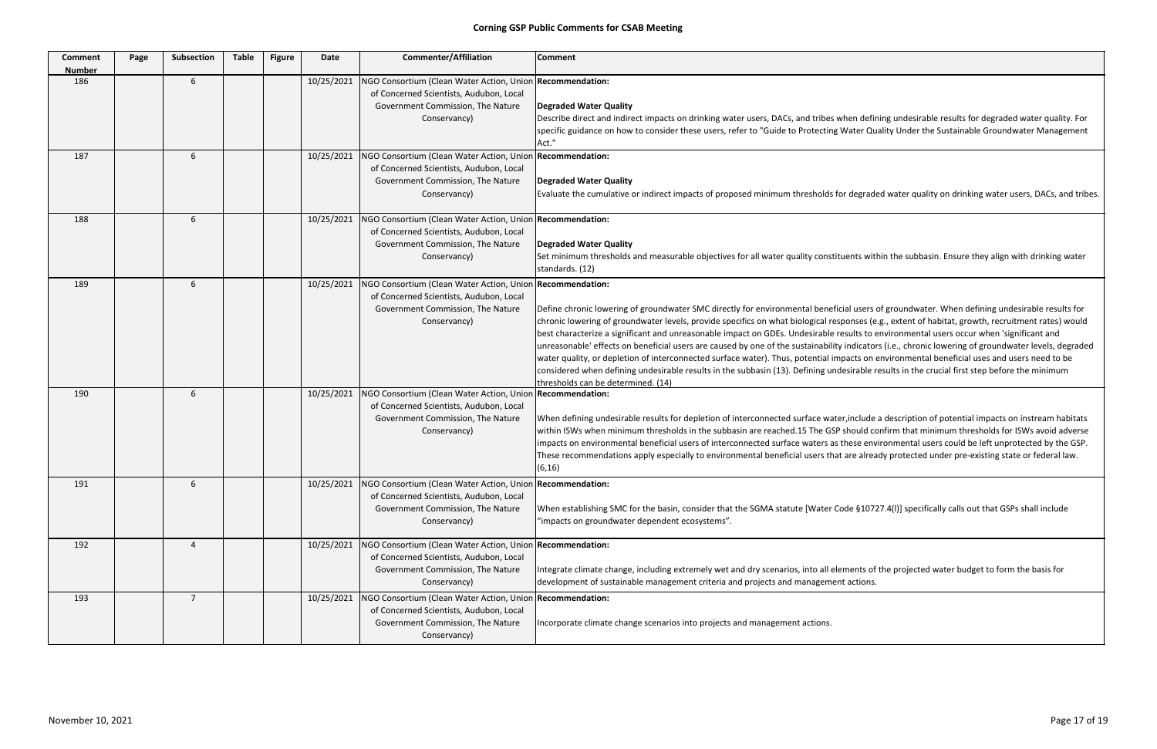| <b>Comment</b><br><b>Number</b> | Page | Subsection       | <b>Table</b> | <b>Figure</b> | Date       | <b>Commenter/Affiliation</b>                                                                                                                                           | <b>Comment</b>                                                                                                                                                                                                                                                                                                                                                                                                                                                                                                                                                                                              |
|---------------------------------|------|------------------|--------------|---------------|------------|------------------------------------------------------------------------------------------------------------------------------------------------------------------------|-------------------------------------------------------------------------------------------------------------------------------------------------------------------------------------------------------------------------------------------------------------------------------------------------------------------------------------------------------------------------------------------------------------------------------------------------------------------------------------------------------------------------------------------------------------------------------------------------------------|
| 186                             |      | $\boldsymbol{6}$ |              |               | 10/25/2021 | NGO Consortium (Clean Water Action, Union Recommendation:<br>of Concerned Scientists, Audubon, Local<br>Government Commission, The Nature<br>Conservancy)              | Degraded Water Quality<br>Describe direct and indirect impacts on drinking water users, DACs, and tribes when defi<br>specific guidance on how to consider these users, refer to "Guide to Protecting Water Qu<br>Act."                                                                                                                                                                                                                                                                                                                                                                                     |
| 187                             |      | 6                |              |               | 10/25/2021 | NGO Consortium (Clean Water Action, Union Recommendation:<br>of Concerned Scientists, Audubon, Local<br>Government Commission, The Nature<br>Conservancy)              | Degraded Water Quality<br>Evaluate the cumulative or indirect impacts of proposed minimum thresholds for degrad                                                                                                                                                                                                                                                                                                                                                                                                                                                                                             |
| 188                             |      | 6                |              |               | 10/25/2021 | NGO Consortium (Clean Water Action, Union Recommendation:<br>of Concerned Scientists, Audubon, Local<br>Government Commission, The Nature<br>Conservancy)              | Degraded Water Quality<br>Set minimum thresholds and measurable objectives for all water quality constituents wit<br>standards. (12)                                                                                                                                                                                                                                                                                                                                                                                                                                                                        |
| 189                             |      | 6                |              |               | 10/25/2021 | NGO Consortium (Clean Water Action, Union Recommendation:<br>of Concerned Scientists, Audubon, Local<br>Government Commission, The Nature<br>Conservancy)              | Define chronic lowering of groundwater SMC directly for environmental beneficial users<br>chronic lowering of groundwater levels, provide specifics on what biological responses (e<br>best characterize a significant and unreasonable impact on GDEs. Undesirable results to<br>unreasonable' effects on beneficial users are caused by one of the sustainability indicato<br>water quality, or depletion of interconnected surface water). Thus, potential impacts on<br>considered when defining undesirable results in the subbasin (13). Defining undesirable i<br>thresholds can be determined. (14) |
| 190                             |      | 6                |              |               | 10/25/2021 | NGO Consortium (Clean Water Action, Union Recommendation:<br>of Concerned Scientists, Audubon, Local<br>Government Commission, The Nature<br>Conservancy)              | When defining undesirable results for depletion of interconnected surface water, include<br>within ISWs when minimum thresholds in the subbasin are reached.15 The GSP should co<br>impacts on environmental beneficial users of interconnected surface waters as these env<br>These recommendations apply especially to environmental beneficial users that are alrea<br>(6, 16)                                                                                                                                                                                                                           |
| 191                             |      | 6                |              |               |            | 10/25/2021   NGO Consortium (Clean Water Action, Union Recommendation:<br>of Concerned Scientists, Audubon, Local<br>Government Commission, The Nature<br>Conservancy) | When establishing SMC for the basin, consider that the SGMA statute [Water Code §107<br>"impacts on groundwater dependent ecosystems".                                                                                                                                                                                                                                                                                                                                                                                                                                                                      |
| 192                             |      | $\overline{4}$   |              |               | 10/25/2021 | NGO Consortium (Clean Water Action, Union Recommendation:<br>of Concerned Scientists, Audubon, Local<br>Government Commission, The Nature<br>Conservancy)              | Integrate climate change, including extremely wet and dry scenarios, into all elements of<br>development of sustainable management criteria and projects and management actions.                                                                                                                                                                                                                                                                                                                                                                                                                            |
| 193                             |      | $\overline{7}$   |              |               | 10/25/2021 | NGO Consortium (Clean Water Action, Union Recommendation:<br>of Concerned Scientists, Audubon, Local<br>Government Commission, The Nature<br>Conservancy)              | Incorporate climate change scenarios into projects and management actions.                                                                                                                                                                                                                                                                                                                                                                                                                                                                                                                                  |

ien defining undesirable results for degraded water quality. For ater Quality Under the Sustainable Groundwater Management

degraded water quality on drinking water users, DACs, and tribes.

ents within the subbasin. Ensure they align with drinking water

l users of groundwater. When defining undesirable results for onses (e.g., extent of habitat, growth, recruitment rates) would ults to environmental users occur when 'significant and ndicators (i.e., chronic lowering of groundwater levels, degraded acts on environmental beneficial uses and users need to be sirable results in the crucial first step before the minimum

include a description of potential impacts on instream habitats hould confirm that minimum thresholds for ISWs avoid adverse iese environmental users could be left unprotected by the GSP. re already protected under pre-existing state or federal law.

le §10727.4(l)] specifically calls out that GSPs shall include

nents of the projected water budget to form the basis for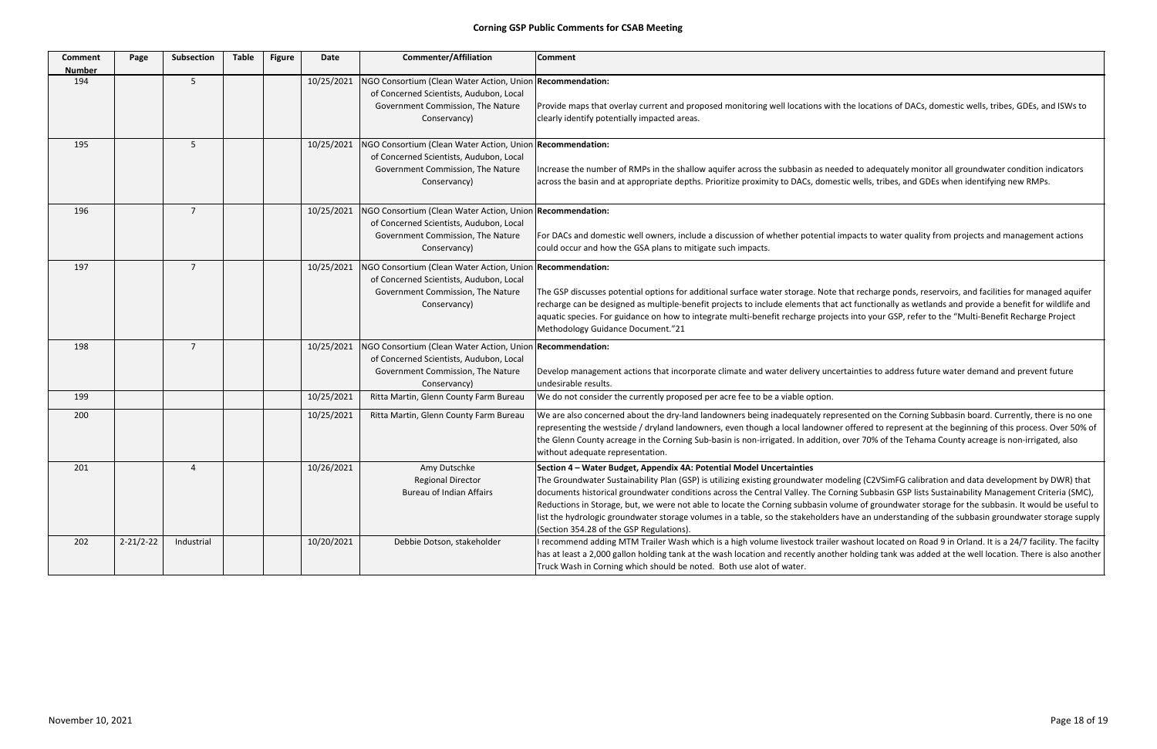| <b>Comment</b><br><b>Number</b> | Page            | Subsection     | <b>Table</b> | <b>Figure</b> | Date       | <b>Commenter/Affiliation</b>                                                                                                                              | <b>Comment</b>                                                                                                                                                                                                                                                                                                                                                                                                                                                        |
|---------------------------------|-----------------|----------------|--------------|---------------|------------|-----------------------------------------------------------------------------------------------------------------------------------------------------------|-----------------------------------------------------------------------------------------------------------------------------------------------------------------------------------------------------------------------------------------------------------------------------------------------------------------------------------------------------------------------------------------------------------------------------------------------------------------------|
| 194                             |                 | 5              |              |               | 10/25/2021 | NGO Consortium (Clean Water Action, Union Recommendation:<br>of Concerned Scientists, Audubon, Local<br>Government Commission, The Nature<br>Conservancy) | Provide maps that overlay current and proposed monitoring well locations with th<br>clearly identify potentially impacted areas.                                                                                                                                                                                                                                                                                                                                      |
| 195                             |                 | 5              |              |               | 10/25/2021 | NGO Consortium (Clean Water Action, Union Recommendation:<br>of Concerned Scientists, Audubon, Local<br>Government Commission, The Nature<br>Conservancy) | Increase the number of RMPs in the shallow aquifer across the subbasin as needed<br>across the basin and at appropriate depths. Prioritize proximity to DACs, domestic                                                                                                                                                                                                                                                                                                |
| 196                             |                 | $\overline{7}$ |              |               | 10/25/2021 | NGO Consortium (Clean Water Action, Union Recommendation:<br>of Concerned Scientists, Audubon, Local<br>Government Commission, The Nature<br>Conservancy) | For DACs and domestic well owners, include a discussion of whether potential imp<br>could occur and how the GSA plans to mitigate such impacts.                                                                                                                                                                                                                                                                                                                       |
| 197                             |                 | $\overline{7}$ |              |               | 10/25/2021 | NGO Consortium (Clean Water Action, Union Recommendation:<br>of Concerned Scientists, Audubon, Local<br>Government Commission, The Nature<br>Conservancy) | The GSP discusses potential options for additional surface water storage. Note tha<br>recharge can be designed as multiple-benefit projects to include elements that act<br>aquatic species. For guidance on how to integrate multi-benefit recharge projects<br>Methodology Guidance Document."21                                                                                                                                                                    |
| 198                             |                 | $\overline{7}$ |              |               | 10/25/2021 | NGO Consortium (Clean Water Action, Union Recommendation:<br>of Concerned Scientists, Audubon, Local<br>Government Commission, The Nature<br>Conservancy) | Develop management actions that incorporate climate and water delivery uncerta<br>undesirable results.                                                                                                                                                                                                                                                                                                                                                                |
| 199                             |                 |                |              |               | 10/25/2021 | Ritta Martin, Glenn County Farm Bureau                                                                                                                    | We do not consider the currently proposed per acre fee to be a viable option.                                                                                                                                                                                                                                                                                                                                                                                         |
| 200                             |                 |                |              |               | 10/25/2021 | Ritta Martin, Glenn County Farm Bureau                                                                                                                    | We are also concerned about the dry-land landowners being inadequately represe<br>representing the westside / dryland landowners, even though a local landowner o<br>the Glenn County acreage in the Corning Sub-basin is non-irrigated. In addition, ov<br>without adequate representation.                                                                                                                                                                          |
| 201                             |                 | 4              |              |               | 10/26/2021 | Amy Dutschke<br><b>Regional Director</b><br><b>Bureau of Indian Affairs</b>                                                                               | Section 4 - Water Budget, Appendix 4A: Potential Model Uncertainties<br>The Groundwater Sustainability Plan (GSP) is utilizing existing groundwater model<br>documents historical groundwater conditions across the Central Valley. The Cornin<br>Reductions in Storage, but, we were not able to locate the Corning subbasin volun<br>list the hydrologic groundwater storage volumes in a table, so the stakeholders ha<br>(Section 354.28 of the GSP Regulations). |
| 202                             | $2 - 21/2 - 22$ | Industrial     |              |               | 10/20/2021 | Debbie Dotson, stakeholder                                                                                                                                | I recommend adding MTM Trailer Wash which is a high volume livestock trailer wa<br>has at least a 2,000 gallon holding tank at the wash location and recently another<br>Truck Wash in Corning which should be noted. Both use alot of water.                                                                                                                                                                                                                         |

ne locations of DACs, domestic wells, tribes, GDEs, and ISWs to

ed to adequately monitor all groundwater condition indicators and at appropriate depths. Prioritize provings, to DACs is wells, tribes, tribes, and GDEs when identifying new RMPs.

pacts to water quality from projects and management actions

at recharge ponds, reservoirs, and facilities for managed aquifer t functionally as wetlands and provide a benefit for wildlife and ainto your GSP, refer to the "Multi‐Benefit Recharge Project

ainties to address future water demand and prevent future

ented on the Corning Subbasin board. Currently, there is no one offered to represent at the beginning of this process. Over 50% of ver 70% of the Tehama County acreage is non-irrigated, also

ling (C2VSimFG calibration and data development by DWR) that ing Subbasin GSP lists Sustainability Management Criteria (SMC), me of groundwater storage for the subbasin. It would be useful to ave an understanding of the subbasin groundwater storage supply

ashout located on Road 9 in Orland. It is a 24/7 facility. The facilty holding tank was added at the well location. There is also another